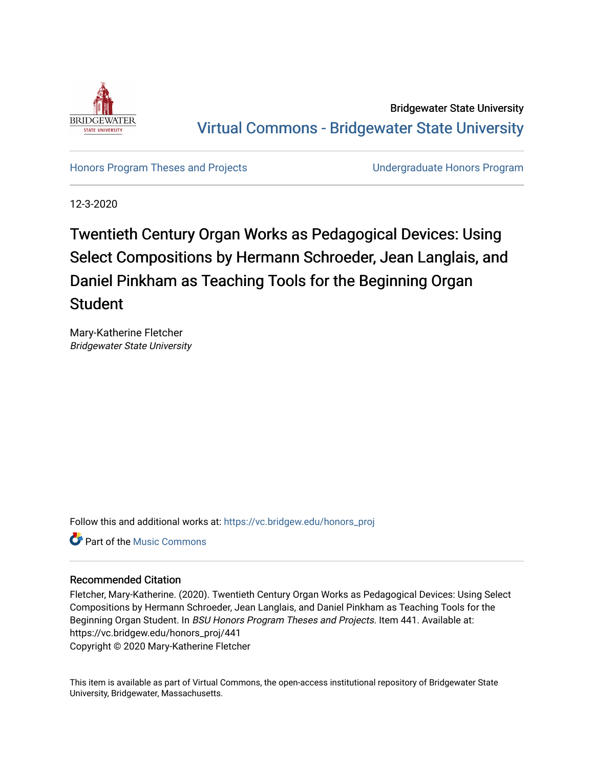

Bridgewater State University [Virtual Commons - Bridgewater State University](https://vc.bridgew.edu/) 

[Honors Program Theses and Projects](https://vc.bridgew.edu/honors_proj) [Undergraduate Honors Program](https://vc.bridgew.edu/honors) 

12-3-2020

# Twentieth Century Organ Works as Pedagogical Devices: Using Select Compositions by Hermann Schroeder, Jean Langlais, and Daniel Pinkham as Teaching Tools for the Beginning Organ Student

Mary-Katherine Fletcher Bridgewater State University

Follow this and additional works at: [https://vc.bridgew.edu/honors\\_proj](https://vc.bridgew.edu/honors_proj?utm_source=vc.bridgew.edu%2Fhonors_proj%2F441&utm_medium=PDF&utm_campaign=PDFCoverPages)

Part of the [Music Commons](http://network.bepress.com/hgg/discipline/518?utm_source=vc.bridgew.edu%2Fhonors_proj%2F441&utm_medium=PDF&utm_campaign=PDFCoverPages) 

#### Recommended Citation

Fletcher, Mary-Katherine. (2020). Twentieth Century Organ Works as Pedagogical Devices: Using Select Compositions by Hermann Schroeder, Jean Langlais, and Daniel Pinkham as Teaching Tools for the Beginning Organ Student. In BSU Honors Program Theses and Projects. Item 441. Available at: https://vc.bridgew.edu/honors\_proj/441 Copyright © 2020 Mary-Katherine Fletcher

This item is available as part of Virtual Commons, the open-access institutional repository of Bridgewater State University, Bridgewater, Massachusetts.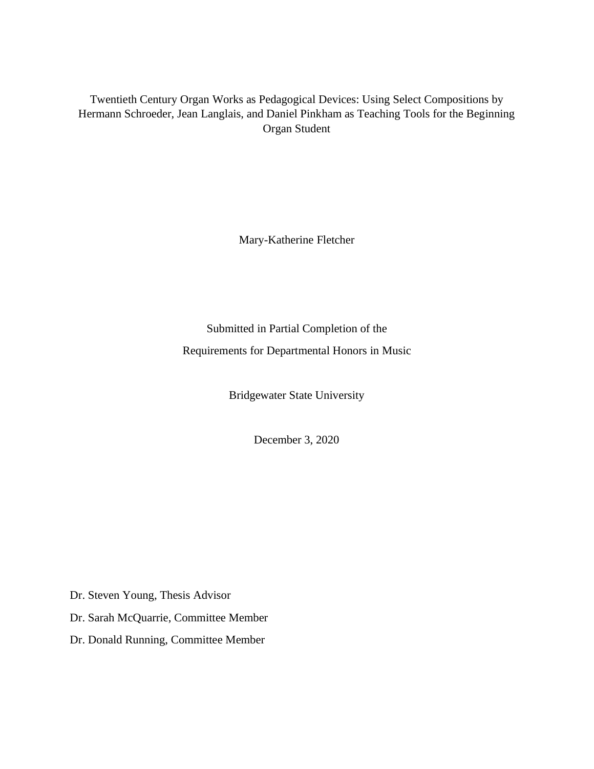Twentieth Century Organ Works as Pedagogical Devices: Using Select Compositions by Hermann Schroeder, Jean Langlais, and Daniel Pinkham as Teaching Tools for the Beginning Organ Student

Mary-Katherine Fletcher

Submitted in Partial Completion of the Requirements for Departmental Honors in Music

Bridgewater State University

December 3, 2020

Dr. Steven Young, Thesis Advisor

Dr. Sarah McQuarrie, Committee Member

Dr. Donald Running, Committee Member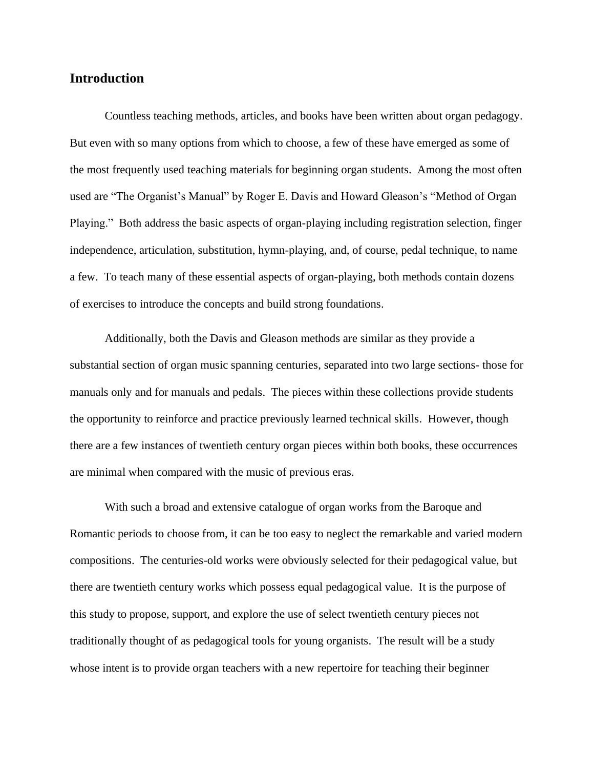#### **Introduction**

Countless teaching methods, articles, and books have been written about organ pedagogy. But even with so many options from which to choose, a few of these have emerged as some of the most frequently used teaching materials for beginning organ students. Among the most often used are "The Organist's Manual" by Roger E. Davis and Howard Gleason's "Method of Organ Playing." Both address the basic aspects of organ-playing including registration selection, finger independence, articulation, substitution, hymn-playing, and, of course, pedal technique, to name a few. To teach many of these essential aspects of organ-playing, both methods contain dozens of exercises to introduce the concepts and build strong foundations.

Additionally, both the Davis and Gleason methods are similar as they provide a substantial section of organ music spanning centuries, separated into two large sections- those for manuals only and for manuals and pedals. The pieces within these collections provide students the opportunity to reinforce and practice previously learned technical skills. However, though there are a few instances of twentieth century organ pieces within both books, these occurrences are minimal when compared with the music of previous eras.

With such a broad and extensive catalogue of organ works from the Baroque and Romantic periods to choose from, it can be too easy to neglect the remarkable and varied modern compositions. The centuries-old works were obviously selected for their pedagogical value, but there are twentieth century works which possess equal pedagogical value. It is the purpose of this study to propose, support, and explore the use of select twentieth century pieces not traditionally thought of as pedagogical tools for young organists. The result will be a study whose intent is to provide organ teachers with a new repertoire for teaching their beginner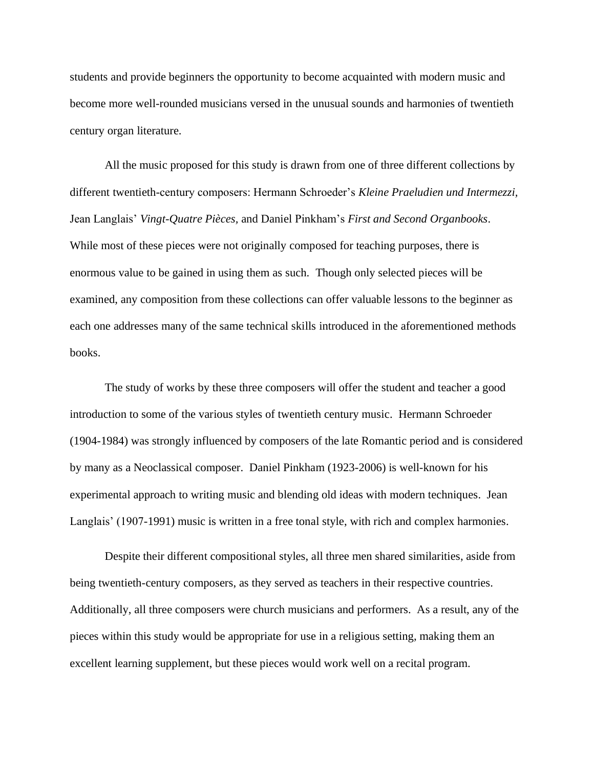students and provide beginners the opportunity to become acquainted with modern music and become more well-rounded musicians versed in the unusual sounds and harmonies of twentieth century organ literature.

All the music proposed for this study is drawn from one of three different collections by different twentieth-century composers: Hermann Schroeder's *Kleine Praeludien und Intermezzi,* Jean Langlais' *Vingt-Quatre Pièces,* and Daniel Pinkham's *First and Second Organbooks*. While most of these pieces were not originally composed for teaching purposes, there is enormous value to be gained in using them as such. Though only selected pieces will be examined, any composition from these collections can offer valuable lessons to the beginner as each one addresses many of the same technical skills introduced in the aforementioned methods books.

The study of works by these three composers will offer the student and teacher a good introduction to some of the various styles of twentieth century music. Hermann Schroeder (1904-1984) was strongly influenced by composers of the late Romantic period and is considered by many as a Neoclassical composer. Daniel Pinkham (1923-2006) is well-known for his experimental approach to writing music and blending old ideas with modern techniques. Jean Langlais' (1907-1991) music is written in a free tonal style, with rich and complex harmonies.

Despite their different compositional styles, all three men shared similarities, aside from being twentieth-century composers, as they served as teachers in their respective countries. Additionally, all three composers were church musicians and performers. As a result, any of the pieces within this study would be appropriate for use in a religious setting, making them an excellent learning supplement, but these pieces would work well on a recital program.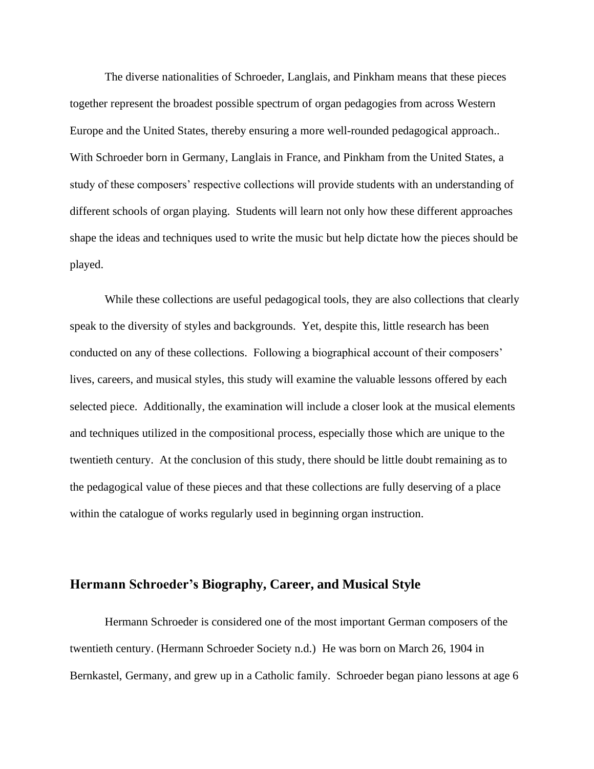The diverse nationalities of Schroeder, Langlais, and Pinkham means that these pieces together represent the broadest possible spectrum of organ pedagogies from across Western Europe and the United States, thereby ensuring a more well-rounded pedagogical approach.. With Schroeder born in Germany, Langlais in France, and Pinkham from the United States, a study of these composers' respective collections will provide students with an understanding of different schools of organ playing. Students will learn not only how these different approaches shape the ideas and techniques used to write the music but help dictate how the pieces should be played.

While these collections are useful pedagogical tools, they are also collections that clearly speak to the diversity of styles and backgrounds. Yet, despite this, little research has been conducted on any of these collections. Following a biographical account of their composers' lives, careers, and musical styles, this study will examine the valuable lessons offered by each selected piece. Additionally, the examination will include a closer look at the musical elements and techniques utilized in the compositional process, especially those which are unique to the twentieth century. At the conclusion of this study, there should be little doubt remaining as to the pedagogical value of these pieces and that these collections are fully deserving of a place within the catalogue of works regularly used in beginning organ instruction.

#### **Hermann Schroeder's Biography, Career, and Musical Style**

Hermann Schroeder is considered one of the most important German composers of the twentieth century. (Hermann Schroeder Society n.d.) He was born on March 26, 1904 in Bernkastel, Germany, and grew up in a Catholic family. Schroeder began piano lessons at age 6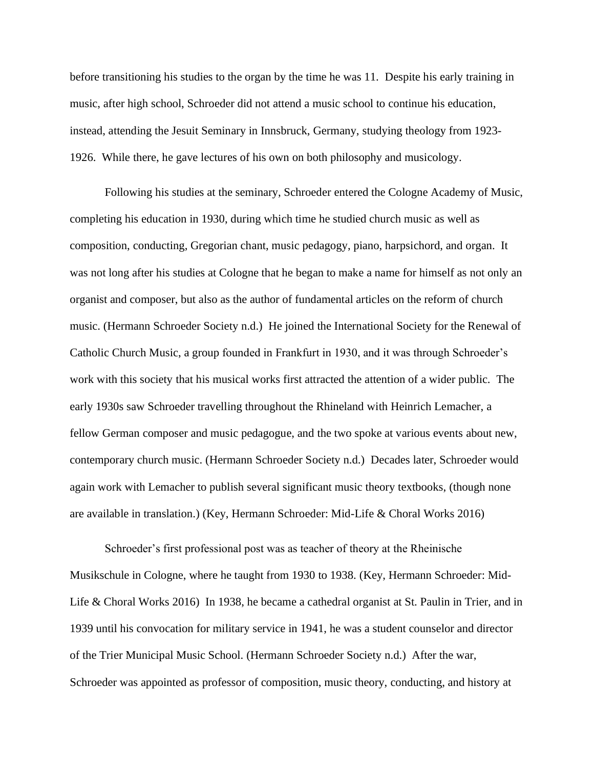before transitioning his studies to the organ by the time he was 11. Despite his early training in music, after high school, Schroeder did not attend a music school to continue his education, instead, attending the Jesuit Seminary in Innsbruck, Germany, studying theology from 1923- 1926. While there, he gave lectures of his own on both philosophy and musicology.

Following his studies at the seminary, Schroeder entered the Cologne Academy of Music, completing his education in 1930, during which time he studied church music as well as composition, conducting, Gregorian chant, music pedagogy, piano, harpsichord, and organ. It was not long after his studies at Cologne that he began to make a name for himself as not only an organist and composer, but also as the author of fundamental articles on the reform of church music. (Hermann Schroeder Society n.d.) He joined the International Society for the Renewal of Catholic Church Music, a group founded in Frankfurt in 1930, and it was through Schroeder's work with this society that his musical works first attracted the attention of a wider public. The early 1930s saw Schroeder travelling throughout the Rhineland with Heinrich Lemacher, a fellow German composer and music pedagogue, and the two spoke at various events about new, contemporary church music. (Hermann Schroeder Society n.d.) Decades later, Schroeder would again work with Lemacher to publish several significant music theory textbooks, (though none are available in translation.) (Key, Hermann Schroeder: Mid-Life & Choral Works 2016)

Schroeder's first professional post was as teacher of theory at the Rheinische Musikschule in Cologne, where he taught from 1930 to 1938. (Key, Hermann Schroeder: Mid-Life & Choral Works 2016) In 1938, he became a cathedral organist at St. Paulin in Trier, and in 1939 until his convocation for military service in 1941, he was a student counselor and director of the Trier Municipal Music School. (Hermann Schroeder Society n.d.) After the war, Schroeder was appointed as professor of composition, music theory, conducting, and history at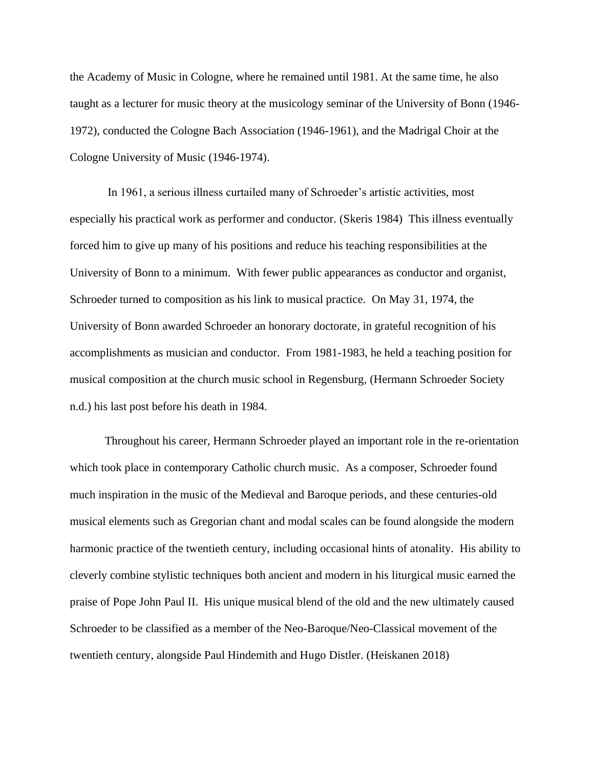the Academy of Music in Cologne, where he remained until 1981. At the same time, he also taught as a lecturer for music theory at the musicology seminar of the University of Bonn (1946- 1972), conducted the Cologne Bach Association (1946-1961), and the Madrigal Choir at the Cologne University of Music (1946-1974).

In 1961, a serious illness curtailed many of Schroeder's artistic activities, most especially his practical work as performer and conductor. (Skeris 1984) This illness eventually forced him to give up many of his positions and reduce his teaching responsibilities at the University of Bonn to a minimum. With fewer public appearances as conductor and organist, Schroeder turned to composition as his link to musical practice. On May 31, 1974, the University of Bonn awarded Schroeder an honorary doctorate, in grateful recognition of his accomplishments as musician and conductor. From 1981-1983, he held a teaching position for musical composition at the church music school in Regensburg, (Hermann Schroeder Society n.d.) his last post before his death in 1984.

Throughout his career, Hermann Schroeder played an important role in the re-orientation which took place in contemporary Catholic church music. As a composer, Schroeder found much inspiration in the music of the Medieval and Baroque periods, and these centuries-old musical elements such as Gregorian chant and modal scales can be found alongside the modern harmonic practice of the twentieth century, including occasional hints of atonality. His ability to cleverly combine stylistic techniques both ancient and modern in his liturgical music earned the praise of Pope John Paul II. His unique musical blend of the old and the new ultimately caused Schroeder to be classified as a member of the Neo-Baroque/Neo-Classical movement of the twentieth century, alongside Paul Hindemith and Hugo Distler. (Heiskanen 2018)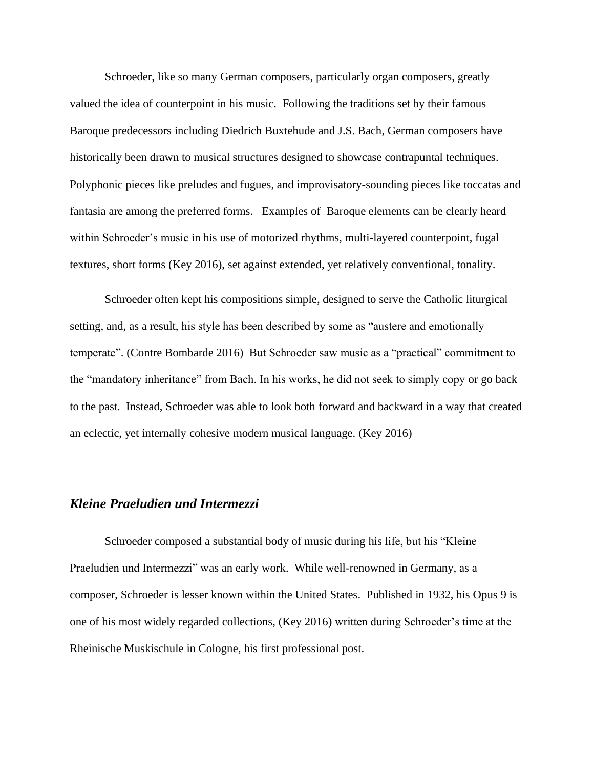Schroeder, like so many German composers, particularly organ composers, greatly valued the idea of counterpoint in his music. Following the traditions set by their famous Baroque predecessors including Diedrich Buxtehude and J.S. Bach, German composers have historically been drawn to musical structures designed to showcase contrapuntal techniques. Polyphonic pieces like preludes and fugues, and improvisatory-sounding pieces like toccatas and fantasia are among the preferred forms. Examples of Baroque elements can be clearly heard within Schroeder's music in his use of motorized rhythms, multi-layered counterpoint, fugal textures, short forms (Key 2016), set against extended, yet relatively conventional, tonality.

Schroeder often kept his compositions simple, designed to serve the Catholic liturgical setting, and, as a result, his style has been described by some as "austere and emotionally temperate". (Contre Bombarde 2016) But Schroeder saw music as a "practical" commitment to the "mandatory inheritance" from Bach. In his works, he did not seek to simply copy or go back to the past. Instead, Schroeder was able to look both forward and backward in a way that created an eclectic, yet internally cohesive modern musical language. (Key 2016)

### *Kleine Praeludien und Intermezzi*

Schroeder composed a substantial body of music during his life, but his "Kleine Praeludien und Intermezzi" was an early work. While well-renowned in Germany, as a composer, Schroeder is lesser known within the United States. Published in 1932, his Opus 9 is one of his most widely regarded collections, (Key 2016) written during Schroeder's time at the Rheinische Muskischule in Cologne, his first professional post.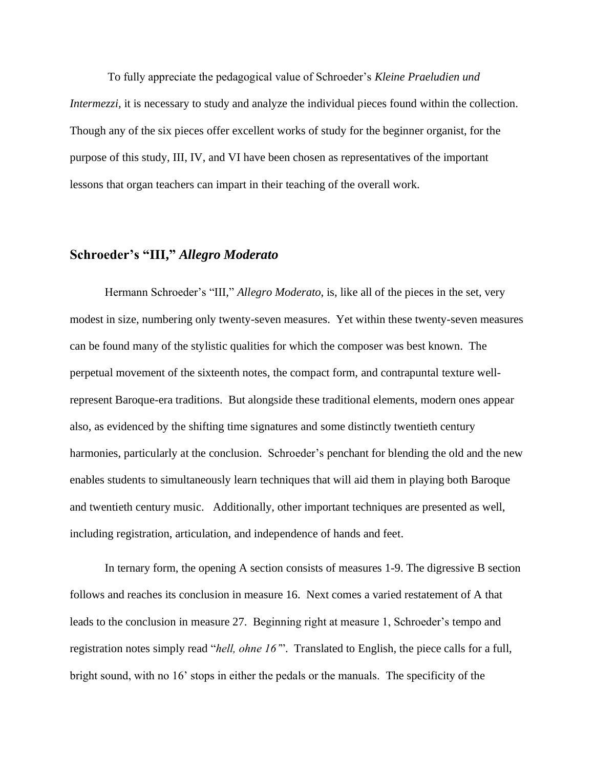To fully appreciate the pedagogical value of Schroeder's *Kleine Praeludien und Intermezzi*, it is necessary to study and analyze the individual pieces found within the collection. Though any of the six pieces offer excellent works of study for the beginner organist, for the purpose of this study, III, IV, and VI have been chosen as representatives of the important lessons that organ teachers can impart in their teaching of the overall work.

#### **Schroeder's "III, "** *Allegro Moderato*

Hermann Schroeder's "III," *Allegro Moderato*, is, like all of the pieces in the set, very modest in size, numbering only twenty-seven measures. Yet within these twenty-seven measures can be found many of the stylistic qualities for which the composer was best known. The perpetual movement of the sixteenth notes, the compact form, and contrapuntal texture wellrepresent Baroque-era traditions. But alongside these traditional elements, modern ones appear also, as evidenced by the shifting time signatures and some distinctly twentieth century harmonies, particularly at the conclusion. Schroeder's penchant for blending the old and the new enables students to simultaneously learn techniques that will aid them in playing both Baroque and twentieth century music. Additionally, other important techniques are presented as well, including registration, articulation, and independence of hands and feet.

In ternary form, the opening A section consists of measures 1-9. The digressive B section follows and reaches its conclusion in measure 16. Next comes a varied restatement of A that leads to the conclusion in measure 27. Beginning right at measure 1, Schroeder's tempo and registration notes simply read "*hell, ohne 16'*". Translated to English, the piece calls for a full, bright sound, with no 16' stops in either the pedals or the manuals. The specificity of the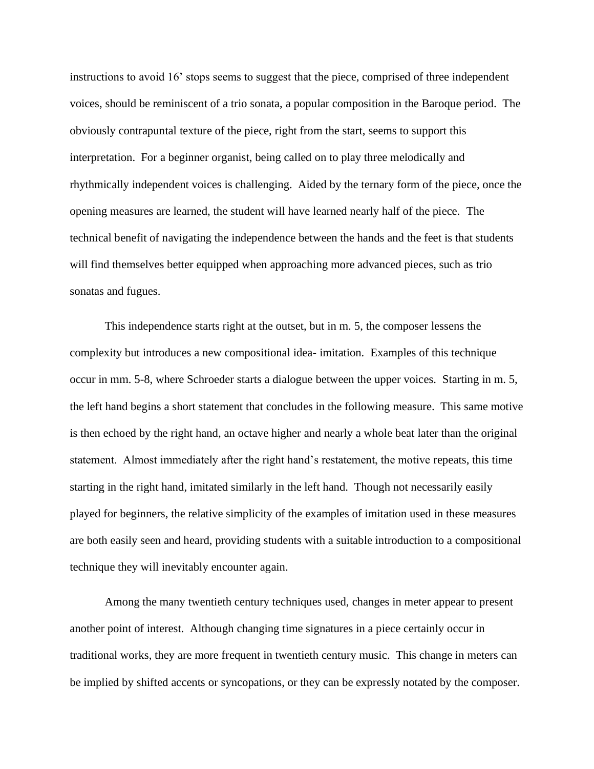instructions to avoid 16' stops seems to suggest that the piece, comprised of three independent voices, should be reminiscent of a trio sonata, a popular composition in the Baroque period. The obviously contrapuntal texture of the piece, right from the start, seems to support this interpretation. For a beginner organist, being called on to play three melodically and rhythmically independent voices is challenging. Aided by the ternary form of the piece, once the opening measures are learned, the student will have learned nearly half of the piece. The technical benefit of navigating the independence between the hands and the feet is that students will find themselves better equipped when approaching more advanced pieces, such as trio sonatas and fugues.

This independence starts right at the outset, but in m. 5, the composer lessens the complexity but introduces a new compositional idea- imitation. Examples of this technique occur in mm. 5-8, where Schroeder starts a dialogue between the upper voices. Starting in m. 5, the left hand begins a short statement that concludes in the following measure. This same motive is then echoed by the right hand, an octave higher and nearly a whole beat later than the original statement. Almost immediately after the right hand's restatement, the motive repeats, this time starting in the right hand, imitated similarly in the left hand. Though not necessarily easily played for beginners, the relative simplicity of the examples of imitation used in these measures are both easily seen and heard, providing students with a suitable introduction to a compositional technique they will inevitably encounter again.

Among the many twentieth century techniques used, changes in meter appear to present another point of interest. Although changing time signatures in a piece certainly occur in traditional works, they are more frequent in twentieth century music. This change in meters can be implied by shifted accents or syncopations, or they can be expressly notated by the composer.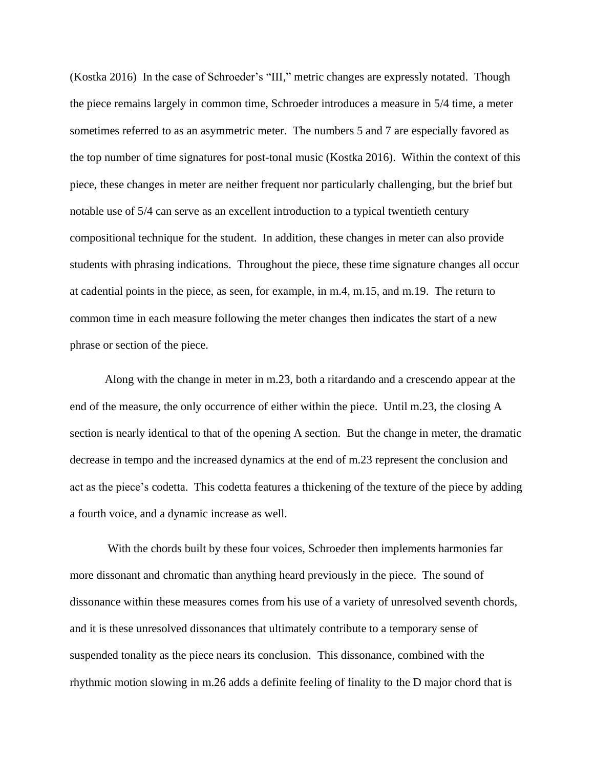(Kostka 2016) In the case of Schroeder's "III," metric changes are expressly notated. Though the piece remains largely in common time, Schroeder introduces a measure in 5/4 time, a meter sometimes referred to as an asymmetric meter. The numbers 5 and 7 are especially favored as the top number of time signatures for post-tonal music (Kostka 2016). Within the context of this piece, these changes in meter are neither frequent nor particularly challenging, but the brief but notable use of 5/4 can serve as an excellent introduction to a typical twentieth century compositional technique for the student. In addition, these changes in meter can also provide students with phrasing indications. Throughout the piece, these time signature changes all occur at cadential points in the piece, as seen, for example, in m.4, m.15, and m.19. The return to common time in each measure following the meter changes then indicates the start of a new phrase or section of the piece.

Along with the change in meter in m.23, both a ritardando and a crescendo appear at the end of the measure, the only occurrence of either within the piece. Until m.23, the closing A section is nearly identical to that of the opening A section. But the change in meter, the dramatic decrease in tempo and the increased dynamics at the end of m.23 represent the conclusion and act as the piece's codetta. This codetta features a thickening of the texture of the piece by adding a fourth voice, and a dynamic increase as well.

With the chords built by these four voices, Schroeder then implements harmonies far more dissonant and chromatic than anything heard previously in the piece. The sound of dissonance within these measures comes from his use of a variety of unresolved seventh chords, and it is these unresolved dissonances that ultimately contribute to a temporary sense of suspended tonality as the piece nears its conclusion. This dissonance, combined with the rhythmic motion slowing in m.26 adds a definite feeling of finality to the D major chord that is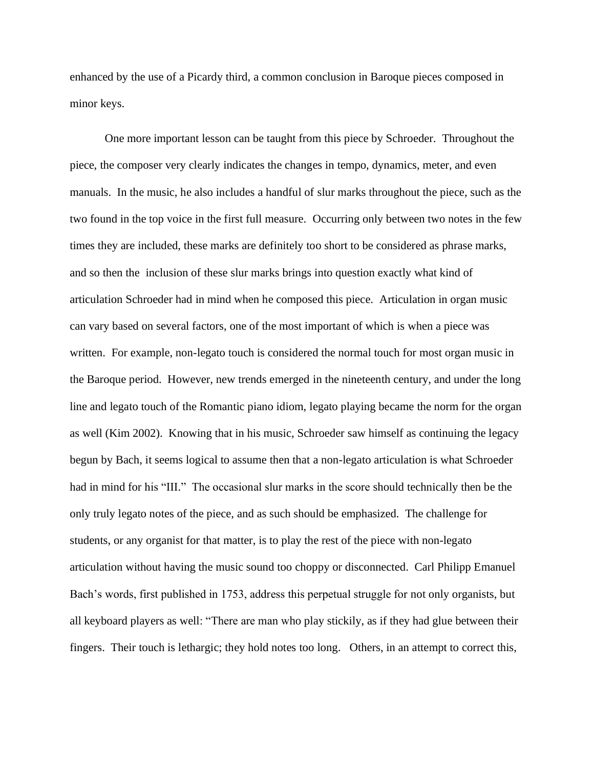enhanced by the use of a Picardy third, a common conclusion in Baroque pieces composed in minor keys.

One more important lesson can be taught from this piece by Schroeder. Throughout the piece, the composer very clearly indicates the changes in tempo, dynamics, meter, and even manuals. In the music, he also includes a handful of slur marks throughout the piece, such as the two found in the top voice in the first full measure. Occurring only between two notes in the few times they are included, these marks are definitely too short to be considered as phrase marks, and so then the inclusion of these slur marks brings into question exactly what kind of articulation Schroeder had in mind when he composed this piece. Articulation in organ music can vary based on several factors, one of the most important of which is when a piece was written. For example, non-legato touch is considered the normal touch for most organ music in the Baroque period. However, new trends emerged in the nineteenth century, and under the long line and legato touch of the Romantic piano idiom, legato playing became the norm for the organ as well (Kim 2002). Knowing that in his music, Schroeder saw himself as continuing the legacy begun by Bach, it seems logical to assume then that a non-legato articulation is what Schroeder had in mind for his "III." The occasional slur marks in the score should technically then be the only truly legato notes of the piece, and as such should be emphasized. The challenge for students, or any organist for that matter, is to play the rest of the piece with non-legato articulation without having the music sound too choppy or disconnected. Carl Philipp Emanuel Bach's words, first published in 1753, address this perpetual struggle for not only organists, but all keyboard players as well: "There are man who play stickily, as if they had glue between their fingers. Their touch is lethargic; they hold notes too long. Others, in an attempt to correct this,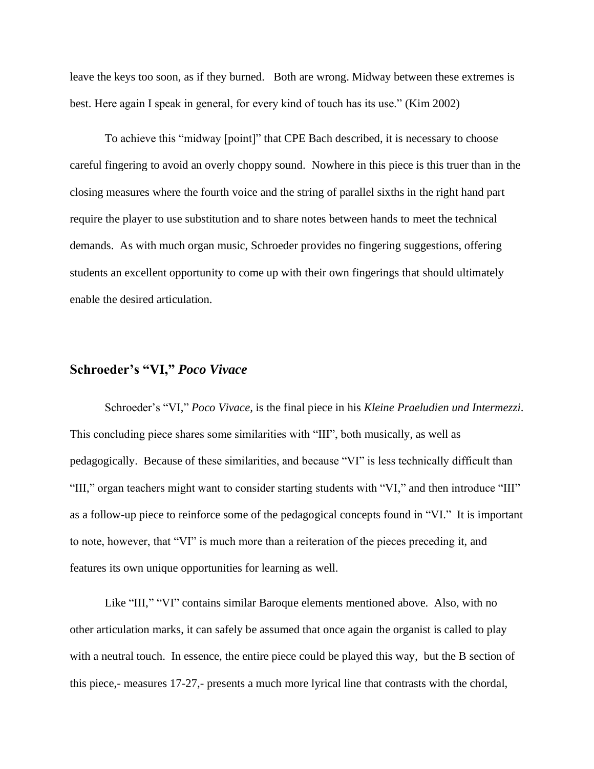leave the keys too soon, as if they burned. Both are wrong. Midway between these extremes is best. Here again I speak in general, for every kind of touch has its use." (Kim 2002)

To achieve this "midway [point]" that CPE Bach described, it is necessary to choose careful fingering to avoid an overly choppy sound. Nowhere in this piece is this truer than in the closing measures where the fourth voice and the string of parallel sixths in the right hand part require the player to use substitution and to share notes between hands to meet the technical demands. As with much organ music, Schroeder provides no fingering suggestions, offering students an excellent opportunity to come up with their own fingerings that should ultimately enable the desired articulation.

# **Schroeder's "VI,"** *Poco Vivace*

Schroeder's "VI," *Poco Vivace,* is the final piece in his *Kleine Praeludien und Intermezzi*. This concluding piece shares some similarities with "III", both musically, as well as pedagogically. Because of these similarities, and because "VI" is less technically difficult than "III," organ teachers might want to consider starting students with "VI," and then introduce "III" as a follow-up piece to reinforce some of the pedagogical concepts found in "VI." It is important to note, however, that "VI" is much more than a reiteration of the pieces preceding it, and features its own unique opportunities for learning as well.

Like "III," "VI" contains similar Baroque elements mentioned above. Also, with no other articulation marks, it can safely be assumed that once again the organist is called to play with a neutral touch. In essence, the entire piece could be played this way, but the B section of this piece,- measures 17-27,- presents a much more lyrical line that contrasts with the chordal,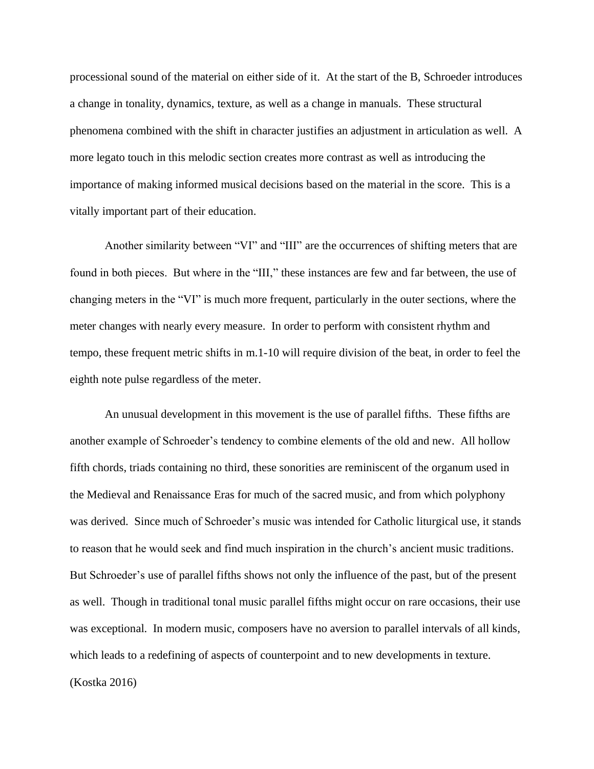processional sound of the material on either side of it. At the start of the B, Schroeder introduces a change in tonality, dynamics, texture, as well as a change in manuals. These structural phenomena combined with the shift in character justifies an adjustment in articulation as well. A more legato touch in this melodic section creates more contrast as well as introducing the importance of making informed musical decisions based on the material in the score. This is a vitally important part of their education.

Another similarity between "VI" and "III" are the occurrences of shifting meters that are found in both pieces. But where in the "III," these instances are few and far between, the use of changing meters in the "VI" is much more frequent, particularly in the outer sections, where the meter changes with nearly every measure. In order to perform with consistent rhythm and tempo, these frequent metric shifts in m.1-10 will require division of the beat, in order to feel the eighth note pulse regardless of the meter.

An unusual development in this movement is the use of parallel fifths. These fifths are another example of Schroeder's tendency to combine elements of the old and new. All hollow fifth chords, triads containing no third, these sonorities are reminiscent of the organum used in the Medieval and Renaissance Eras for much of the sacred music, and from which polyphony was derived. Since much of Schroeder's music was intended for Catholic liturgical use, it stands to reason that he would seek and find much inspiration in the church's ancient music traditions. But Schroeder's use of parallel fifths shows not only the influence of the past, but of the present as well. Though in traditional tonal music parallel fifths might occur on rare occasions, their use was exceptional. In modern music, composers have no aversion to parallel intervals of all kinds, which leads to a redefining of aspects of counterpoint and to new developments in texture. (Kostka 2016)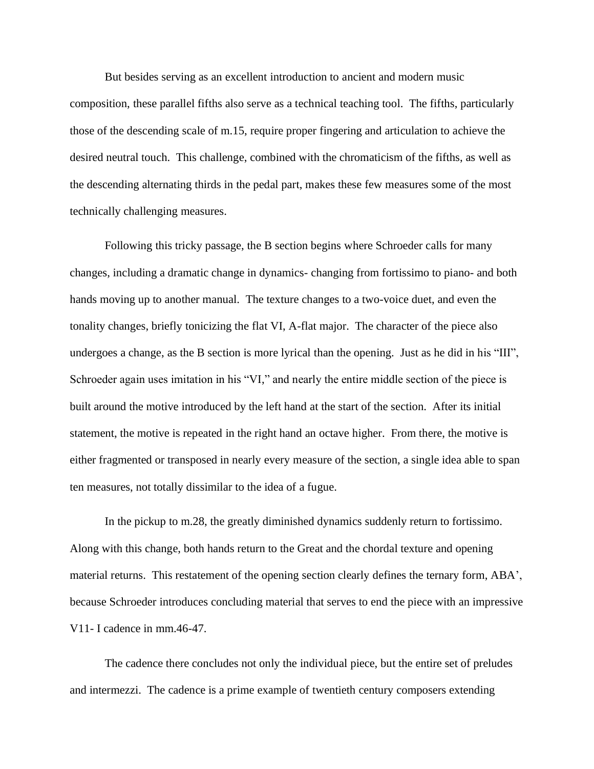But besides serving as an excellent introduction to ancient and modern music composition, these parallel fifths also serve as a technical teaching tool. The fifths, particularly those of the descending scale of m.15, require proper fingering and articulation to achieve the desired neutral touch. This challenge, combined with the chromaticism of the fifths, as well as the descending alternating thirds in the pedal part, makes these few measures some of the most technically challenging measures.

Following this tricky passage, the B section begins where Schroeder calls for many changes, including a dramatic change in dynamics- changing from fortissimo to piano- and both hands moving up to another manual. The texture changes to a two-voice duet, and even the tonality changes, briefly tonicizing the flat VI, A-flat major. The character of the piece also undergoes a change, as the B section is more lyrical than the opening. Just as he did in his "III", Schroeder again uses imitation in his "VI," and nearly the entire middle section of the piece is built around the motive introduced by the left hand at the start of the section. After its initial statement, the motive is repeated in the right hand an octave higher. From there, the motive is either fragmented or transposed in nearly every measure of the section, a single idea able to span ten measures, not totally dissimilar to the idea of a fugue.

In the pickup to m.28, the greatly diminished dynamics suddenly return to fortissimo. Along with this change, both hands return to the Great and the chordal texture and opening material returns. This restatement of the opening section clearly defines the ternary form, ABA', because Schroeder introduces concluding material that serves to end the piece with an impressive V11- I cadence in mm.46-47.

The cadence there concludes not only the individual piece, but the entire set of preludes and intermezzi. The cadence is a prime example of twentieth century composers extending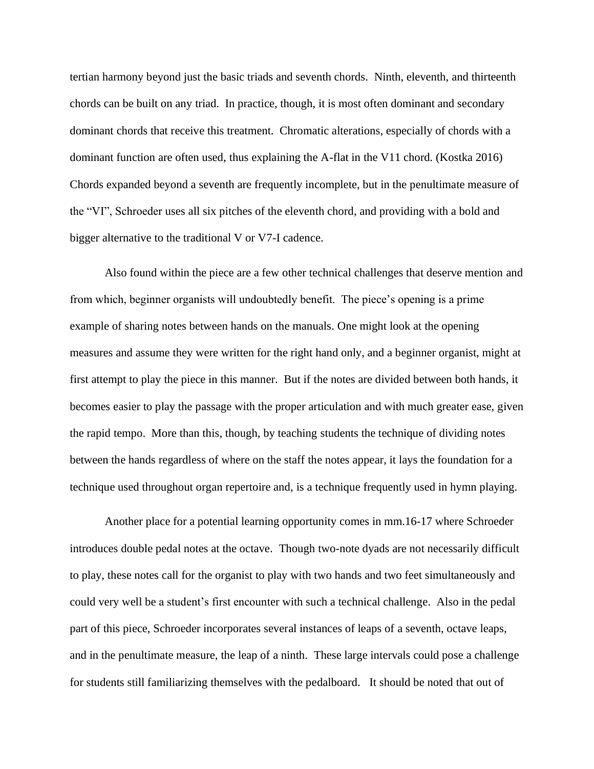tertian harmony beyond just the basic triads and seventh chords. Ninth, eleventh, and thirteenth chords can be built on any triad. In practice, though, it is most often dominant and secondary dominant chords that receive this treatment. Chromatic alterations, especially of chords with a dominant function are often used, thus explaining the A-flat in the V11 chord. (Kostka 2016) Chords expanded beyond a seventh are frequently incomplete, but in the penultimate measure of the "VI", Schroeder uses all six pitches of the eleventh chord, and providing with a bold and bigger alternative to the traditional V or V7-I cadence.

Also found within the piece are a few other technical challenges that deserve mention and from which, beginner organists will undoubtedly benefit. The piece's opening is a prime example of sharing notes between hands on the manuals. One might look at the opening measures and assume they were written for the right hand only, and a beginner organist, might at first attempt to play the piece in this manner. But if the notes are divided between both hands, it becomes easier to play the passage with the proper articulation and with much greater ease, given the rapid tempo. More than this, though, by teaching students the technique of dividing notes between the hands regardless of where on the staff the notes appear, it lays the foundation for a technique used throughout organ repertoire and, is a technique frequently used in hymn playing.

Another place for a potential learning opportunity comes in mm.16-17 where Schroeder introduces double pedal notes at the octave. Though two-note dyads are not necessarily difficult to play, these notes call for the organist to play with two hands and two feet simultaneously and could very well be a student's first encounter with such a technical challenge. Also in the pedal part of this piece, Schroeder incorporates several instances of leaps of a seventh, octave leaps, and in the penultimate measure, the leap of a ninth. These large intervals could pose a challenge for students still familiarizing themselves with the pedalboard. It should be noted that out of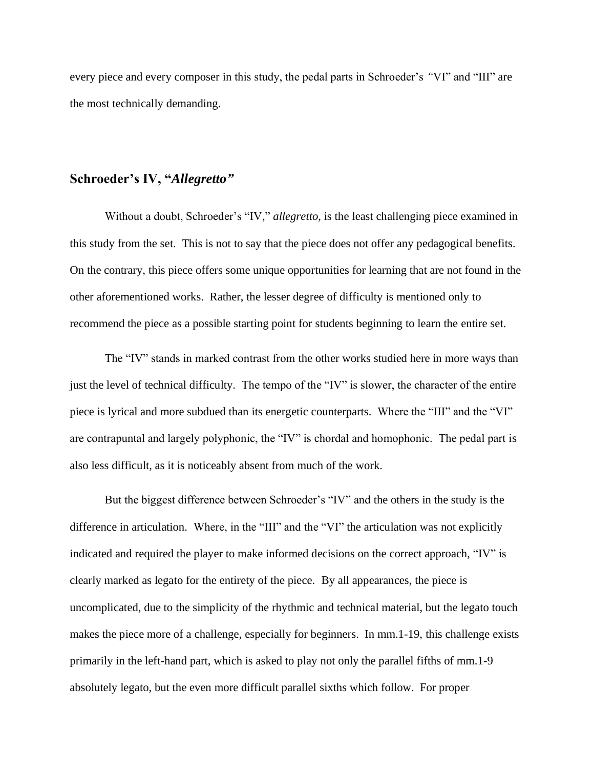every piece and every composer in this study, the pedal parts in Schroeder's *"*VI" and "III" are the most technically demanding.

# **Schroeder's IV, "***Allegretto"*

Without a doubt, Schroeder's "IV," *allegretto*, is the least challenging piece examined in this study from the set. This is not to say that the piece does not offer any pedagogical benefits. On the contrary, this piece offers some unique opportunities for learning that are not found in the other aforementioned works. Rather, the lesser degree of difficulty is mentioned only to recommend the piece as a possible starting point for students beginning to learn the entire set.

The "IV" stands in marked contrast from the other works studied here in more ways than just the level of technical difficulty. The tempo of the "IV" is slower, the character of the entire piece is lyrical and more subdued than its energetic counterparts. Where the "III" and the "VI" are contrapuntal and largely polyphonic, the "IV" is chordal and homophonic. The pedal part is also less difficult, as it is noticeably absent from much of the work.

But the biggest difference between Schroeder's "IV" and the others in the study is the difference in articulation. Where, in the "III" and the "VI" the articulation was not explicitly indicated and required the player to make informed decisions on the correct approach, "IV" is clearly marked as legato for the entirety of the piece. By all appearances, the piece is uncomplicated, due to the simplicity of the rhythmic and technical material, but the legato touch makes the piece more of a challenge, especially for beginners. In mm.1-19, this challenge exists primarily in the left-hand part, which is asked to play not only the parallel fifths of mm.1-9 absolutely legato, but the even more difficult parallel sixths which follow. For proper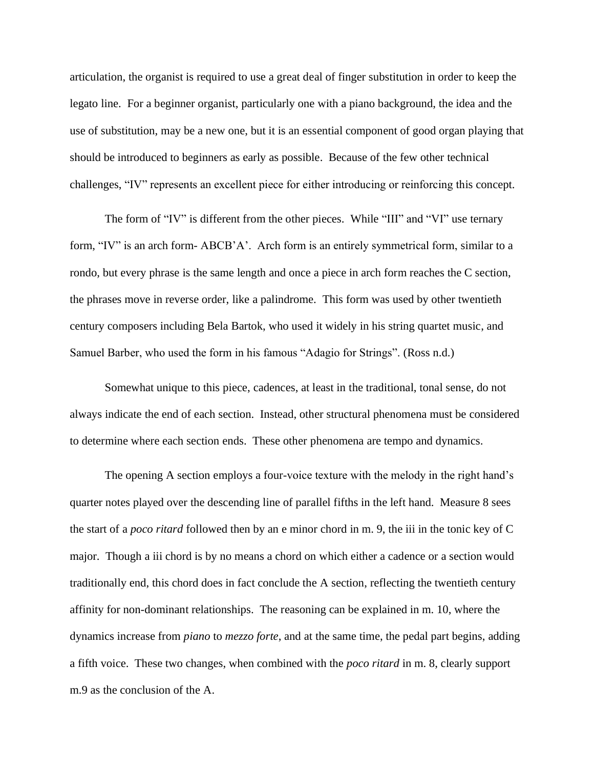articulation, the organist is required to use a great deal of finger substitution in order to keep the legato line. For a beginner organist, particularly one with a piano background, the idea and the use of substitution, may be a new one, but it is an essential component of good organ playing that should be introduced to beginners as early as possible. Because of the few other technical challenges, "IV" represents an excellent piece for either introducing or reinforcing this concept.

The form of "IV" is different from the other pieces. While "III" and "VI" use ternary form, "IV" is an arch form- ABCB'A'. Arch form is an entirely symmetrical form, similar to a rondo, but every phrase is the same length and once a piece in arch form reaches the C section, the phrases move in reverse order, like a palindrome. This form was used by other twentieth century composers including Bela Bartok, who used it widely in his string quartet music, and Samuel Barber, who used the form in his famous "Adagio for Strings". (Ross n.d.)

Somewhat unique to this piece, cadences, at least in the traditional, tonal sense, do not always indicate the end of each section. Instead, other structural phenomena must be considered to determine where each section ends. These other phenomena are tempo and dynamics.

The opening A section employs a four-voice texture with the melody in the right hand's quarter notes played over the descending line of parallel fifths in the left hand. Measure 8 sees the start of a *poco ritard* followed then by an e minor chord in m. 9, the iii in the tonic key of C major. Though a iii chord is by no means a chord on which either a cadence or a section would traditionally end, this chord does in fact conclude the A section, reflecting the twentieth century affinity for non-dominant relationships. The reasoning can be explained in m. 10, where the dynamics increase from *piano* to *mezzo forte*, and at the same time, the pedal part begins, adding a fifth voice. These two changes, when combined with the *poco ritard* in m. 8, clearly support m.9 as the conclusion of the A.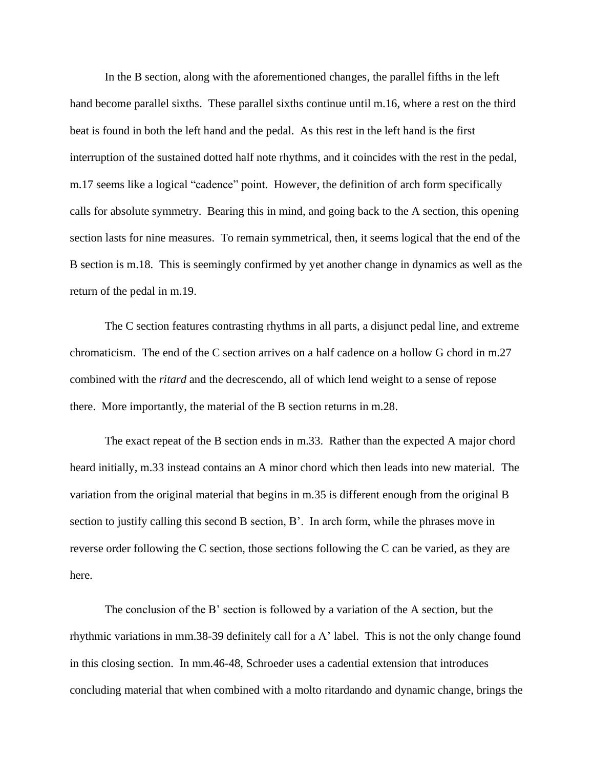In the B section, along with the aforementioned changes, the parallel fifths in the left hand become parallel sixths. These parallel sixths continue until m.16, where a rest on the third beat is found in both the left hand and the pedal. As this rest in the left hand is the first interruption of the sustained dotted half note rhythms, and it coincides with the rest in the pedal, m.17 seems like a logical "cadence" point. However, the definition of arch form specifically calls for absolute symmetry. Bearing this in mind, and going back to the A section, this opening section lasts for nine measures. To remain symmetrical, then, it seems logical that the end of the B section is m.18. This is seemingly confirmed by yet another change in dynamics as well as the return of the pedal in m.19.

The C section features contrasting rhythms in all parts, a disjunct pedal line, and extreme chromaticism. The end of the C section arrives on a half cadence on a hollow G chord in m.27 combined with the *ritard* and the decrescendo, all of which lend weight to a sense of repose there. More importantly, the material of the B section returns in m.28.

The exact repeat of the B section ends in m.33. Rather than the expected A major chord heard initially, m.33 instead contains an A minor chord which then leads into new material. The variation from the original material that begins in m.35 is different enough from the original B section to justify calling this second B section, B'. In arch form, while the phrases move in reverse order following the C section, those sections following the C can be varied, as they are here.

The conclusion of the B' section is followed by a variation of the A section, but the rhythmic variations in mm.38-39 definitely call for a A' label. This is not the only change found in this closing section. In mm.46-48, Schroeder uses a cadential extension that introduces concluding material that when combined with a molto ritardando and dynamic change, brings the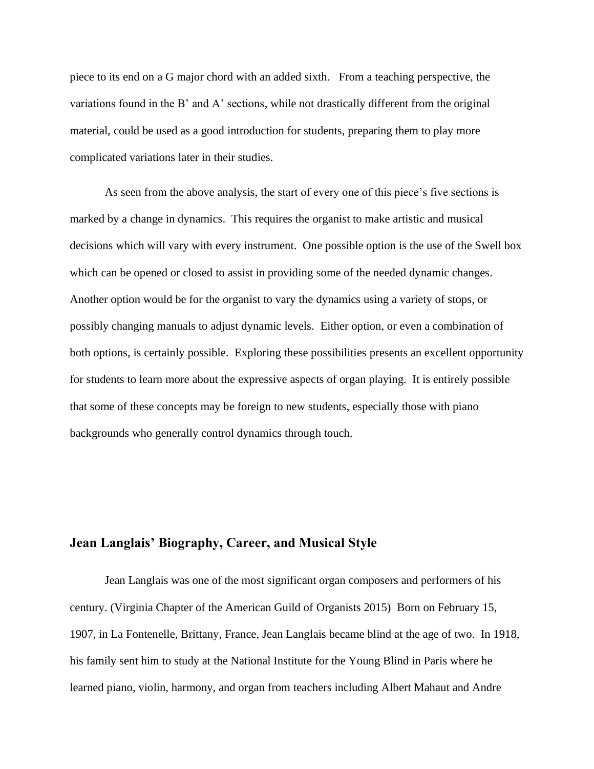piece to its end on a G major chord with an added sixth. From a teaching perspective, the variations found in the B' and A' sections, while not drastically different from the original material, could be used as a good introduction for students, preparing them to play more complicated variations later in their studies.

As seen from the above analysis, the start of every one of this piece's five sections is marked by a change in dynamics. This requires the organist to make artistic and musical decisions which will vary with every instrument. One possible option is the use of the Swell box which can be opened or closed to assist in providing some of the needed dynamic changes. Another option would be for the organist to vary the dynamics using a variety of stops, or possibly changing manuals to adjust dynamic levels. Either option, or even a combination of both options, is certainly possible. Exploring these possibilities presents an excellent opportunity for students to learn more about the expressive aspects of organ playing. It is entirely possible that some of these concepts may be foreign to new students, especially those with piano backgrounds who generally control dynamics through touch.

### **Jean Langlais' Biography, Career, and Musical Style**

Jean Langlais was one of the most significant organ composers and performers of his century. (Virginia Chapter of the American Guild of Organists 2015) Born on February 15, 1907, in La Fontenelle, Brittany, France, Jean Langlais became blind at the age of two. In 1918, his family sent him to study at the National Institute for the Young Blind in Paris where he learned piano, violin, harmony, and organ from teachers including Albert Mahaut and Andre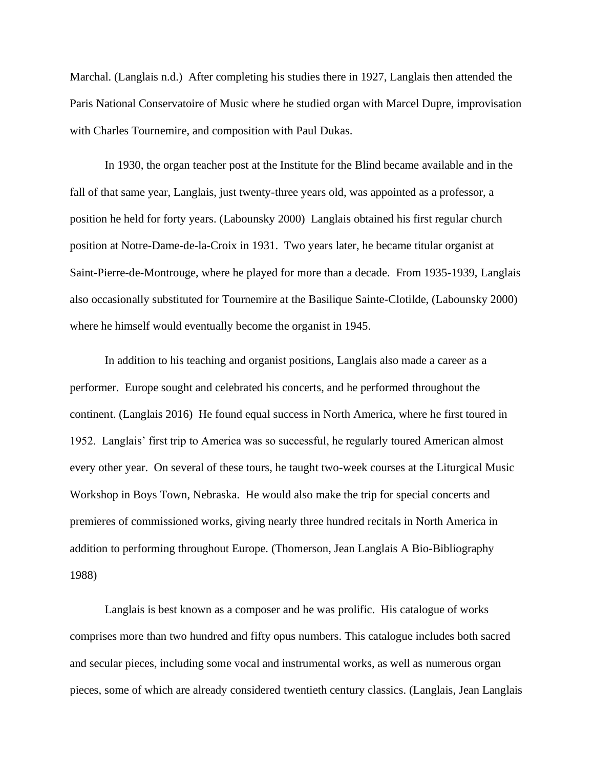Marchal. (Langlais n.d.) After completing his studies there in 1927, Langlais then attended the Paris National Conservatoire of Music where he studied organ with Marcel Dupre, improvisation with Charles Tournemire, and composition with Paul Dukas.

In 1930, the organ teacher post at the Institute for the Blind became available and in the fall of that same year, Langlais, just twenty-three years old, was appointed as a professor, a position he held for forty years. (Labounsky 2000) Langlais obtained his first regular church position at Notre-Dame-de-la-Croix in 1931. Two years later, he became titular organist at Saint-Pierre-de-Montrouge, where he played for more than a decade. From 1935-1939, Langlais also occasionally substituted for Tournemire at the Basilique Sainte-Clotilde, (Labounsky 2000) where he himself would eventually become the organist in 1945.

In addition to his teaching and organist positions, Langlais also made a career as a performer. Europe sought and celebrated his concerts, and he performed throughout the continent. (Langlais 2016) He found equal success in North America, where he first toured in 1952. Langlais' first trip to America was so successful, he regularly toured American almost every other year. On several of these tours, he taught two-week courses at the Liturgical Music Workshop in Boys Town, Nebraska. He would also make the trip for special concerts and premieres of commissioned works, giving nearly three hundred recitals in North America in addition to performing throughout Europe. (Thomerson, Jean Langlais A Bio-Bibliography 1988)

Langlais is best known as a composer and he was prolific. His catalogue of works comprises more than two hundred and fifty opus numbers. This catalogue includes both sacred and secular pieces, including some vocal and instrumental works, as well as numerous organ pieces, some of which are already considered twentieth century classics. (Langlais, Jean Langlais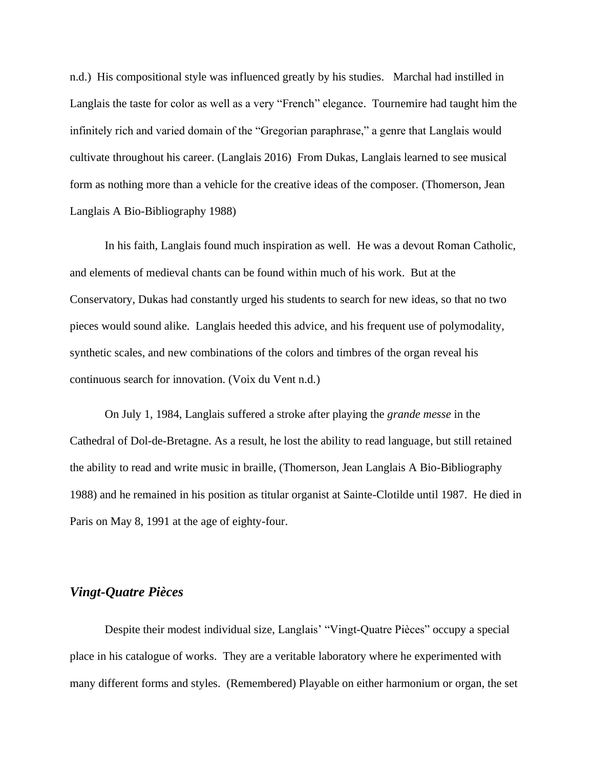n.d.) His compositional style was influenced greatly by his studies. Marchal had instilled in Langlais the taste for color as well as a very "French" elegance. Tournemire had taught him the infinitely rich and varied domain of the "Gregorian paraphrase," a genre that Langlais would cultivate throughout his career. (Langlais 2016) From Dukas, Langlais learned to see musical form as nothing more than a vehicle for the creative ideas of the composer. (Thomerson, Jean Langlais A Bio-Bibliography 1988)

In his faith, Langlais found much inspiration as well. He was a devout Roman Catholic, and elements of medieval chants can be found within much of his work. But at the Conservatory, Dukas had constantly urged his students to search for new ideas, so that no two pieces would sound alike. Langlais heeded this advice, and his frequent use of polymodality, synthetic scales, and new combinations of the colors and timbres of the organ reveal his continuous search for innovation. (Voix du Vent n.d.)

On July 1, 1984, Langlais suffered a stroke after playing the *grande messe* in the Cathedral of Dol-de-Bretagne. As a result, he lost the ability to read language, but still retained the ability to read and write music in braille, (Thomerson, Jean Langlais A Bio-Bibliography 1988) and he remained in his position as titular organist at Sainte-Clotilde until 1987. He died in Paris on May 8, 1991 at the age of eighty-four.

#### *Vingt-Quatre Pièces*

Despite their modest individual size, Langlais' "Vingt-Quatre Pièces" occupy a special place in his catalogue of works. They are a veritable laboratory where he experimented with many different forms and styles. (Remembered) Playable on either harmonium or organ, the set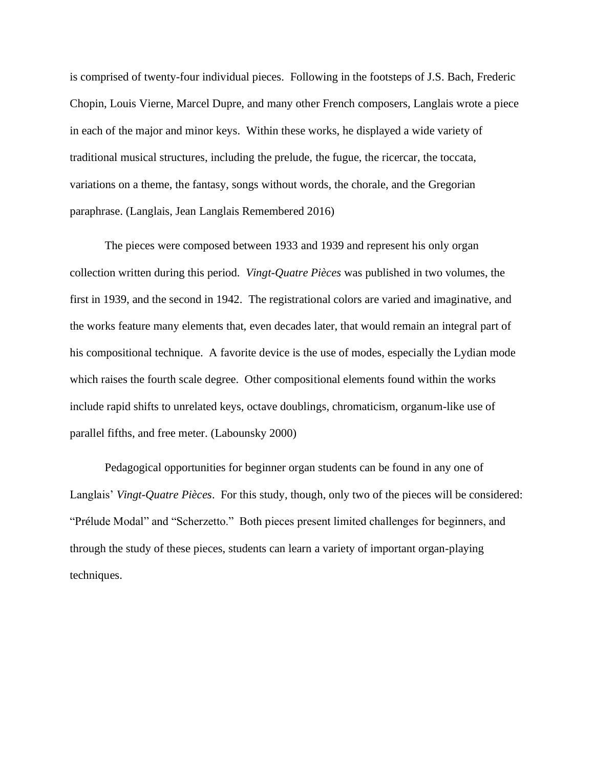is comprised of twenty-four individual pieces. Following in the footsteps of J.S. Bach, Frederic Chopin, Louis Vierne, Marcel Dupre, and many other French composers, Langlais wrote a piece in each of the major and minor keys. Within these works, he displayed a wide variety of traditional musical structures, including the prelude, the fugue, the ricercar, the toccata, variations on a theme, the fantasy, songs without words, the chorale, and the Gregorian paraphrase. (Langlais, Jean Langlais Remembered 2016)

The pieces were composed between 1933 and 1939 and represent his only organ collection written during this period. *Vingt-Quatre Pièces* was published in two volumes, the first in 1939, and the second in 1942. The registrational colors are varied and imaginative, and the works feature many elements that, even decades later, that would remain an integral part of his compositional technique. A favorite device is the use of modes, especially the Lydian mode which raises the fourth scale degree. Other compositional elements found within the works include rapid shifts to unrelated keys, octave doublings, chromaticism, organum-like use of parallel fifths, and free meter. (Labounsky 2000)

Pedagogical opportunities for beginner organ students can be found in any one of Langlais' *Vingt-Quatre Pièces*. For this study, though, only two of the pieces will be considered: "Prélude Modal" and "Scherzetto." Both pieces present limited challenges for beginners, and through the study of these pieces, students can learn a variety of important organ-playing techniques.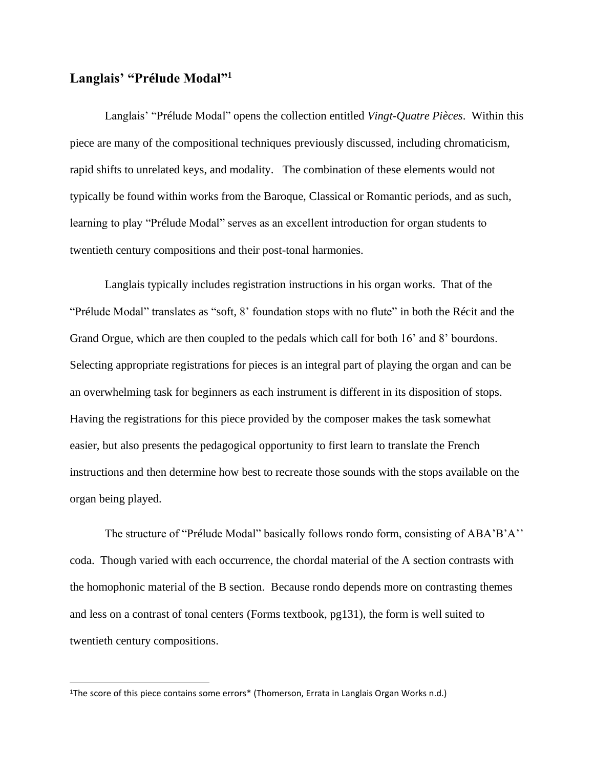#### **Langlais' "Prélude Modal"<sup>1</sup>**

Langlais' "Prélude Modal" opens the collection entitled *Vingt-Quatre Pièces*. Within this piece are many of the compositional techniques previously discussed, including chromaticism, rapid shifts to unrelated keys, and modality. The combination of these elements would not typically be found within works from the Baroque, Classical or Romantic periods, and as such, learning to play "Prélude Modal" serves as an excellent introduction for organ students to twentieth century compositions and their post-tonal harmonies.

Langlais typically includes registration instructions in his organ works. That of the "Prélude Modal" translates as "soft, 8' foundation stops with no flute" in both the Récit and the Grand Orgue, which are then coupled to the pedals which call for both 16' and 8' bourdons. Selecting appropriate registrations for pieces is an integral part of playing the organ and can be an overwhelming task for beginners as each instrument is different in its disposition of stops. Having the registrations for this piece provided by the composer makes the task somewhat easier, but also presents the pedagogical opportunity to first learn to translate the French instructions and then determine how best to recreate those sounds with the stops available on the organ being played.

The structure of "Prélude Modal" basically follows rondo form, consisting of ABA'B'A'' coda. Though varied with each occurrence, the chordal material of the A section contrasts with the homophonic material of the B section. Because rondo depends more on contrasting themes and less on a contrast of tonal centers (Forms textbook, pg131), the form is well suited to twentieth century compositions.

<sup>1</sup>The score of this piece contains some errors\* (Thomerson, Errata in Langlais Organ Works n.d.)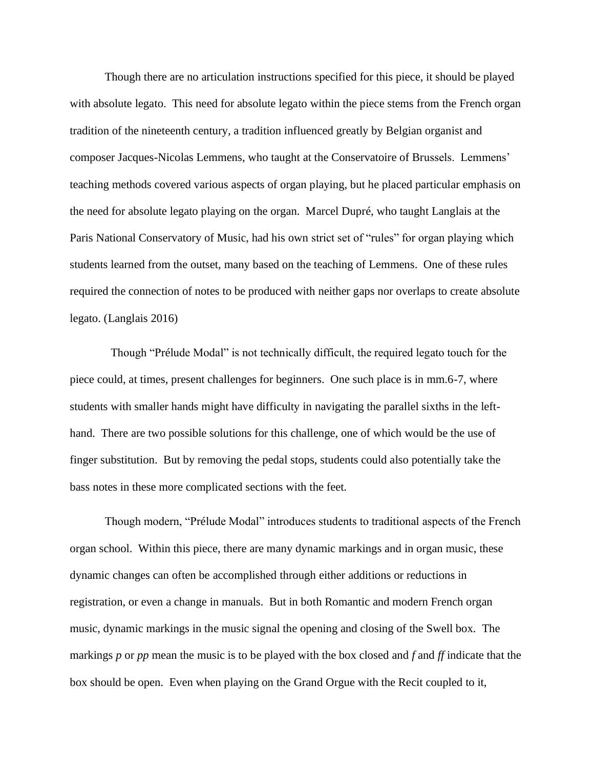Though there are no articulation instructions specified for this piece, it should be played with absolute legato. This need for absolute legato within the piece stems from the French organ tradition of the nineteenth century, a tradition influenced greatly by Belgian organist and composer Jacques-Nicolas Lemmens, who taught at the Conservatoire of Brussels. Lemmens' teaching methods covered various aspects of organ playing, but he placed particular emphasis on the need for absolute legato playing on the organ. Marcel Dupré, who taught Langlais at the Paris National Conservatory of Music, had his own strict set of "rules" for organ playing which students learned from the outset, many based on the teaching of Lemmens. One of these rules required the connection of notes to be produced with neither gaps nor overlaps to create absolute legato. (Langlais 2016)

 Though "Prélude Modal" is not technically difficult, the required legato touch for the piece could, at times, present challenges for beginners. One such place is in mm.6-7, where students with smaller hands might have difficulty in navigating the parallel sixths in the lefthand. There are two possible solutions for this challenge, one of which would be the use of finger substitution. But by removing the pedal stops, students could also potentially take the bass notes in these more complicated sections with the feet.

Though modern, "Prélude Modal" introduces students to traditional aspects of the French organ school. Within this piece, there are many dynamic markings and in organ music, these dynamic changes can often be accomplished through either additions or reductions in registration, or even a change in manuals. But in both Romantic and modern French organ music, dynamic markings in the music signal the opening and closing of the Swell box. The markings *p* or *pp* mean the music is to be played with the box closed and *f* and *ff* indicate that the box should be open. Even when playing on the Grand Orgue with the Recit coupled to it,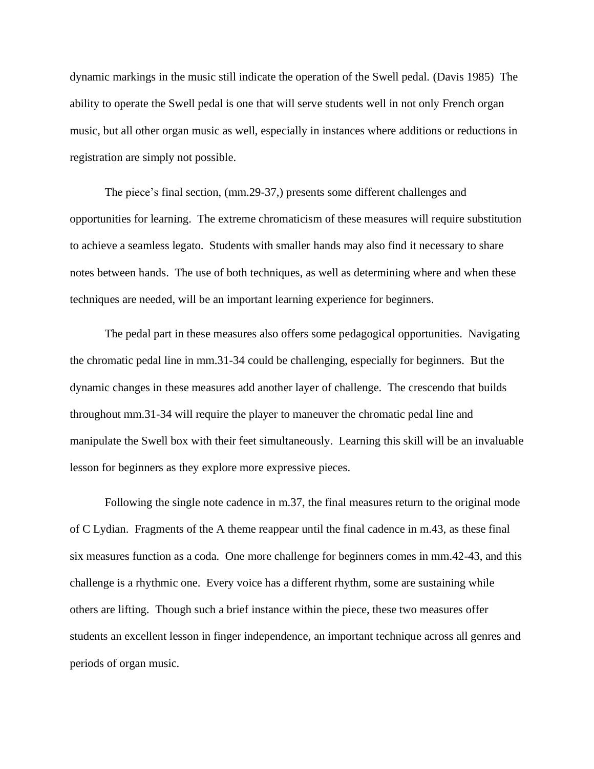dynamic markings in the music still indicate the operation of the Swell pedal. (Davis 1985) The ability to operate the Swell pedal is one that will serve students well in not only French organ music, but all other organ music as well, especially in instances where additions or reductions in registration are simply not possible.

The piece's final section, (mm.29-37,) presents some different challenges and opportunities for learning. The extreme chromaticism of these measures will require substitution to achieve a seamless legato. Students with smaller hands may also find it necessary to share notes between hands. The use of both techniques, as well as determining where and when these techniques are needed, will be an important learning experience for beginners.

The pedal part in these measures also offers some pedagogical opportunities. Navigating the chromatic pedal line in mm.31-34 could be challenging, especially for beginners. But the dynamic changes in these measures add another layer of challenge. The crescendo that builds throughout mm.31-34 will require the player to maneuver the chromatic pedal line and manipulate the Swell box with their feet simultaneously. Learning this skill will be an invaluable lesson for beginners as they explore more expressive pieces.

Following the single note cadence in m.37, the final measures return to the original mode of C Lydian. Fragments of the A theme reappear until the final cadence in m.43, as these final six measures function as a coda. One more challenge for beginners comes in mm.42-43, and this challenge is a rhythmic one. Every voice has a different rhythm, some are sustaining while others are lifting. Though such a brief instance within the piece, these two measures offer students an excellent lesson in finger independence, an important technique across all genres and periods of organ music.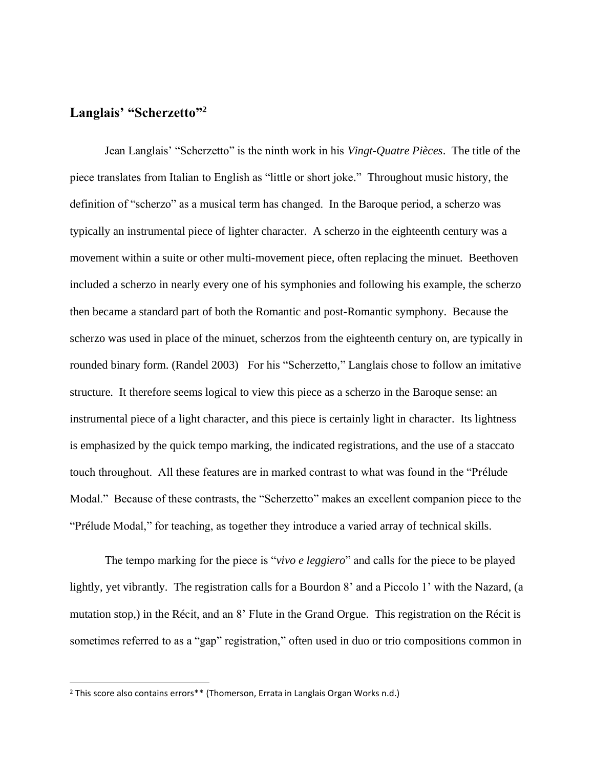## **Langlais' "Scherzetto"<sup>2</sup>**

Jean Langlais' "Scherzetto" is the ninth work in his *Vingt-Quatre Pièces*. The title of the piece translates from Italian to English as "little or short joke." Throughout music history, the definition of "scherzo" as a musical term has changed. In the Baroque period, a scherzo was typically an instrumental piece of lighter character. A scherzo in the eighteenth century was a movement within a suite or other multi-movement piece, often replacing the minuet. Beethoven included a scherzo in nearly every one of his symphonies and following his example, the scherzo then became a standard part of both the Romantic and post-Romantic symphony. Because the scherzo was used in place of the minuet, scherzos from the eighteenth century on, are typically in rounded binary form. (Randel 2003) For his "Scherzetto," Langlais chose to follow an imitative structure. It therefore seems logical to view this piece as a scherzo in the Baroque sense: an instrumental piece of a light character, and this piece is certainly light in character. Its lightness is emphasized by the quick tempo marking, the indicated registrations, and the use of a staccato touch throughout. All these features are in marked contrast to what was found in the "Prélude Modal." Because of these contrasts, the "Scherzetto" makes an excellent companion piece to the "Prélude Modal," for teaching, as together they introduce a varied array of technical skills.

The tempo marking for the piece is "*vivo e leggiero*" and calls for the piece to be played lightly, yet vibrantly. The registration calls for a Bourdon 8' and a Piccolo 1' with the Nazard, (a mutation stop,) in the Récit, and an 8' Flute in the Grand Orgue. This registration on the Récit is sometimes referred to as a "gap" registration," often used in duo or trio compositions common in

<sup>&</sup>lt;sup>2</sup> This score also contains errors\*\* (Thomerson, Errata in Langlais Organ Works n.d.)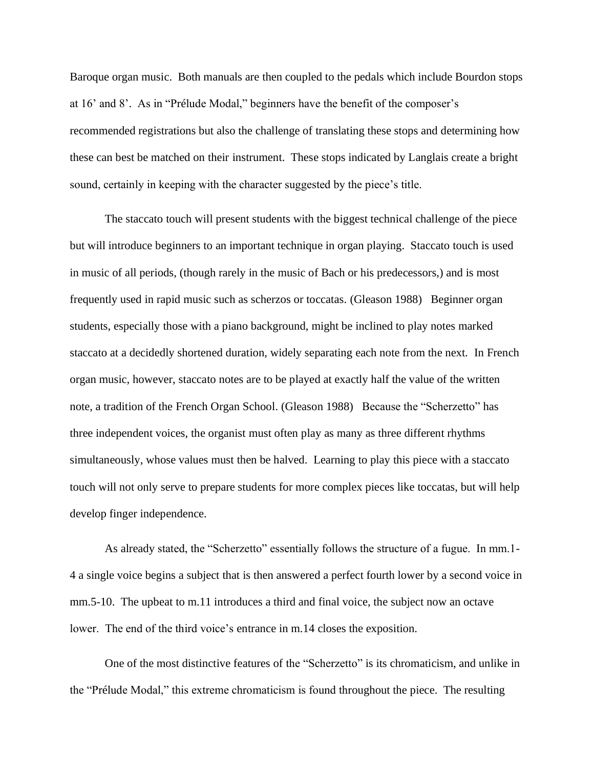Baroque organ music. Both manuals are then coupled to the pedals which include Bourdon stops at 16' and 8'. As in "Prélude Modal," beginners have the benefit of the composer's recommended registrations but also the challenge of translating these stops and determining how these can best be matched on their instrument. These stops indicated by Langlais create a bright sound, certainly in keeping with the character suggested by the piece's title.

The staccato touch will present students with the biggest technical challenge of the piece but will introduce beginners to an important technique in organ playing. Staccato touch is used in music of all periods, (though rarely in the music of Bach or his predecessors,) and is most frequently used in rapid music such as scherzos or toccatas. (Gleason 1988) Beginner organ students, especially those with a piano background, might be inclined to play notes marked staccato at a decidedly shortened duration, widely separating each note from the next. In French organ music, however, staccato notes are to be played at exactly half the value of the written note, a tradition of the French Organ School. (Gleason 1988) Because the "Scherzetto" has three independent voices, the organist must often play as many as three different rhythms simultaneously, whose values must then be halved. Learning to play this piece with a staccato touch will not only serve to prepare students for more complex pieces like toccatas, but will help develop finger independence.

As already stated, the "Scherzetto" essentially follows the structure of a fugue. In mm.1- 4 a single voice begins a subject that is then answered a perfect fourth lower by a second voice in mm.5-10. The upbeat to m.11 introduces a third and final voice, the subject now an octave lower. The end of the third voice's entrance in m.14 closes the exposition.

One of the most distinctive features of the "Scherzetto" is its chromaticism, and unlike in the "Prélude Modal," this extreme chromaticism is found throughout the piece. The resulting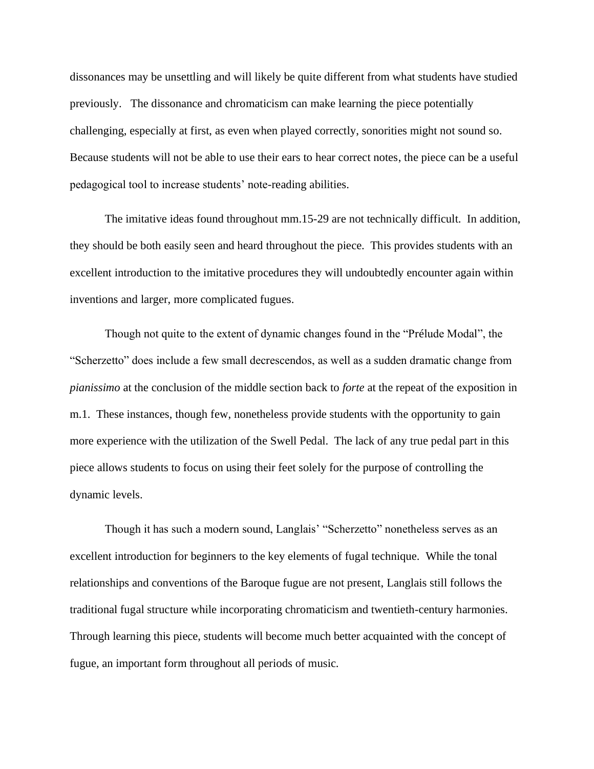dissonances may be unsettling and will likely be quite different from what students have studied previously. The dissonance and chromaticism can make learning the piece potentially challenging, especially at first, as even when played correctly, sonorities might not sound so. Because students will not be able to use their ears to hear correct notes, the piece can be a useful pedagogical tool to increase students' note-reading abilities.

The imitative ideas found throughout mm.15-29 are not technically difficult. In addition, they should be both easily seen and heard throughout the piece. This provides students with an excellent introduction to the imitative procedures they will undoubtedly encounter again within inventions and larger, more complicated fugues.

Though not quite to the extent of dynamic changes found in the "Prélude Modal", the "Scherzetto" does include a few small decrescendos, as well as a sudden dramatic change from *pianissimo* at the conclusion of the middle section back to *forte* at the repeat of the exposition in m.1. These instances, though few, nonetheless provide students with the opportunity to gain more experience with the utilization of the Swell Pedal. The lack of any true pedal part in this piece allows students to focus on using their feet solely for the purpose of controlling the dynamic levels.

Though it has such a modern sound, Langlais' "Scherzetto" nonetheless serves as an excellent introduction for beginners to the key elements of fugal technique. While the tonal relationships and conventions of the Baroque fugue are not present, Langlais still follows the traditional fugal structure while incorporating chromaticism and twentieth-century harmonies. Through learning this piece, students will become much better acquainted with the concept of fugue, an important form throughout all periods of music.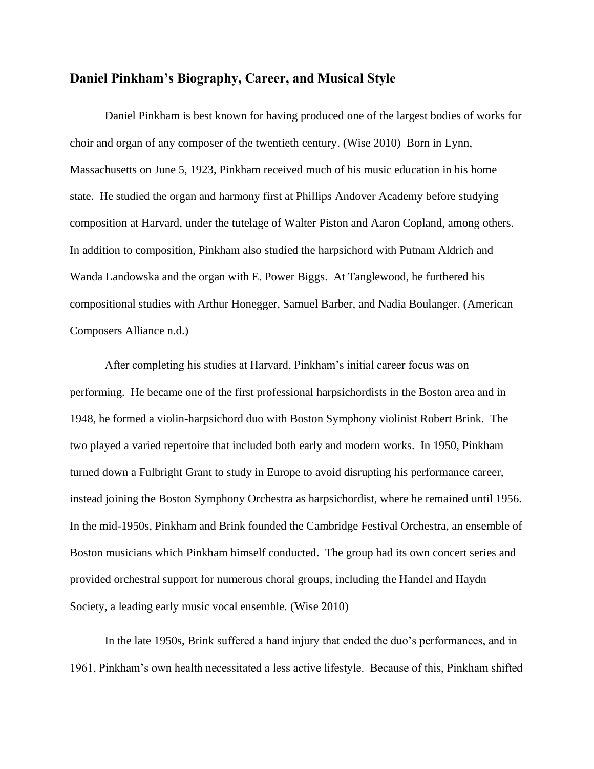#### **Daniel Pinkham's Biography, Career, and Musical Style**

Daniel Pinkham is best known for having produced one of the largest bodies of works for choir and organ of any composer of the twentieth century. (Wise 2010) Born in Lynn, Massachusetts on June 5, 1923, Pinkham received much of his music education in his home state. He studied the organ and harmony first at Phillips Andover Academy before studying composition at Harvard, under the tutelage of Walter Piston and Aaron Copland, among others. In addition to composition, Pinkham also studied the harpsichord with Putnam Aldrich and Wanda Landowska and the organ with E. Power Biggs. At Tanglewood, he furthered his compositional studies with Arthur Honegger, Samuel Barber, and Nadia Boulanger. (American Composers Alliance n.d.)

After completing his studies at Harvard, Pinkham's initial career focus was on performing. He became one of the first professional harpsichordists in the Boston area and in 1948, he formed a violin-harpsichord duo with Boston Symphony violinist Robert Brink. The two played a varied repertoire that included both early and modern works. In 1950, Pinkham turned down a Fulbright Grant to study in Europe to avoid disrupting his performance career, instead joining the Boston Symphony Orchestra as harpsichordist, where he remained until 1956. In the mid-1950s, Pinkham and Brink founded the Cambridge Festival Orchestra, an ensemble of Boston musicians which Pinkham himself conducted. The group had its own concert series and provided orchestral support for numerous choral groups, including the Handel and Haydn Society, a leading early music vocal ensemble. (Wise 2010)

In the late 1950s, Brink suffered a hand injury that ended the duo's performances, and in 1961, Pinkham's own health necessitated a less active lifestyle. Because of this, Pinkham shifted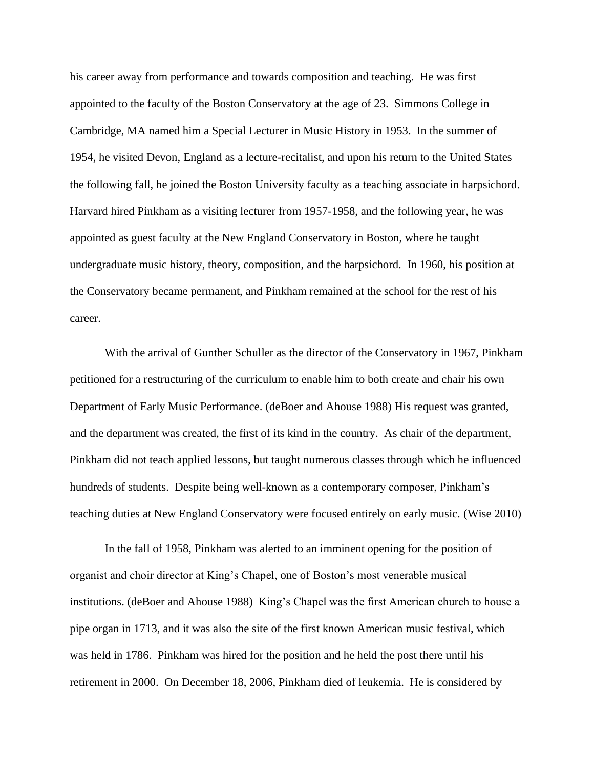his career away from performance and towards composition and teaching. He was first appointed to the faculty of the Boston Conservatory at the age of 23. Simmons College in Cambridge, MA named him a Special Lecturer in Music History in 1953. In the summer of 1954, he visited Devon, England as a lecture-recitalist, and upon his return to the United States the following fall, he joined the Boston University faculty as a teaching associate in harpsichord. Harvard hired Pinkham as a visiting lecturer from 1957-1958, and the following year, he was appointed as guest faculty at the New England Conservatory in Boston, where he taught undergraduate music history, theory, composition, and the harpsichord. In 1960, his position at the Conservatory became permanent, and Pinkham remained at the school for the rest of his career.

With the arrival of Gunther Schuller as the director of the Conservatory in 1967, Pinkham petitioned for a restructuring of the curriculum to enable him to both create and chair his own Department of Early Music Performance. (deBoer and Ahouse 1988) His request was granted, and the department was created, the first of its kind in the country. As chair of the department, Pinkham did not teach applied lessons, but taught numerous classes through which he influenced hundreds of students. Despite being well-known as a contemporary composer, Pinkham's teaching duties at New England Conservatory were focused entirely on early music. (Wise 2010)

In the fall of 1958, Pinkham was alerted to an imminent opening for the position of organist and choir director at King's Chapel, one of Boston's most venerable musical institutions. (deBoer and Ahouse 1988) King's Chapel was the first American church to house a pipe organ in 1713, and it was also the site of the first known American music festival, which was held in 1786. Pinkham was hired for the position and he held the post there until his retirement in 2000. On December 18, 2006, Pinkham died of leukemia. He is considered by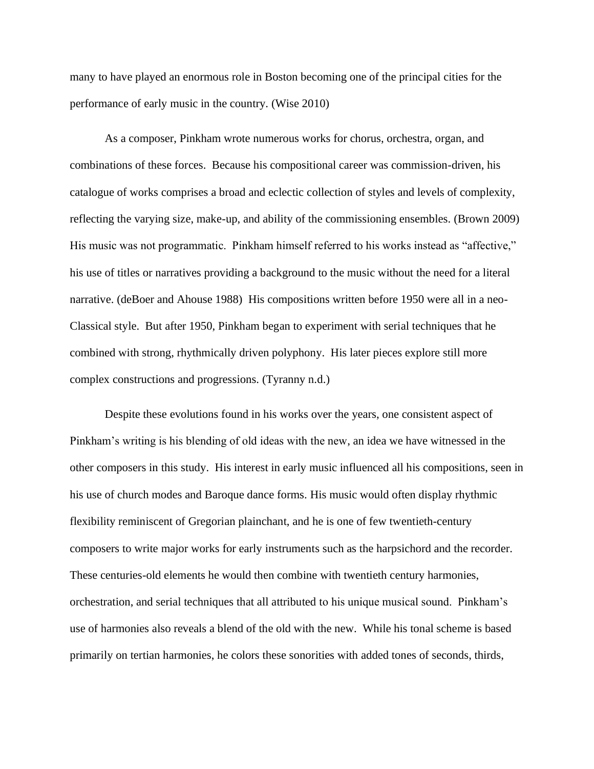many to have played an enormous role in Boston becoming one of the principal cities for the performance of early music in the country. (Wise 2010)

As a composer, Pinkham wrote numerous works for chorus, orchestra, organ, and combinations of these forces. Because his compositional career was commission-driven, his catalogue of works comprises a broad and eclectic collection of styles and levels of complexity, reflecting the varying size, make-up, and ability of the commissioning ensembles. (Brown 2009) His music was not programmatic. Pinkham himself referred to his works instead as "affective," his use of titles or narratives providing a background to the music without the need for a literal narrative. (deBoer and Ahouse 1988) His compositions written before 1950 were all in a neo-Classical style. But after 1950, Pinkham began to experiment with serial techniques that he combined with strong, rhythmically driven polyphony. His later pieces explore still more complex constructions and progressions. (Tyranny n.d.)

Despite these evolutions found in his works over the years, one consistent aspect of Pinkham's writing is his blending of old ideas with the new, an idea we have witnessed in the other composers in this study. His interest in early music influenced all his compositions, seen in his use of church modes and Baroque dance forms. His music would often display rhythmic flexibility reminiscent of Gregorian plainchant, and he is one of few twentieth-century composers to write major works for early instruments such as the harpsichord and the recorder. These centuries-old elements he would then combine with twentieth century harmonies, orchestration, and serial techniques that all attributed to his unique musical sound. Pinkham's use of harmonies also reveals a blend of the old with the new. While his tonal scheme is based primarily on tertian harmonies, he colors these sonorities with added tones of seconds, thirds,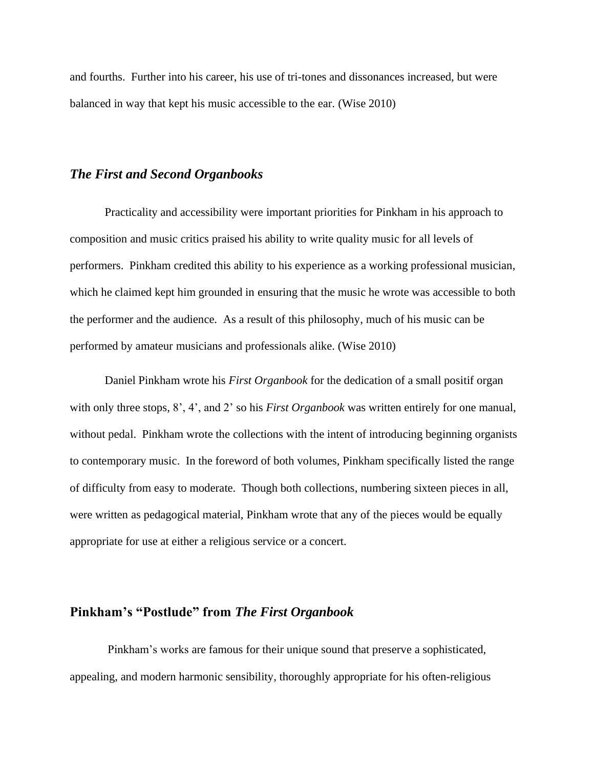and fourths. Further into his career, his use of tri-tones and dissonances increased, but were balanced in way that kept his music accessible to the ear. (Wise 2010)

#### *The First and Second Organbooks*

Practicality and accessibility were important priorities for Pinkham in his approach to composition and music critics praised his ability to write quality music for all levels of performers. Pinkham credited this ability to his experience as a working professional musician, which he claimed kept him grounded in ensuring that the music he wrote was accessible to both the performer and the audience. As a result of this philosophy, much of his music can be performed by amateur musicians and professionals alike. (Wise 2010)

Daniel Pinkham wrote his *First Organbook* for the dedication of a small positif organ with only three stops, 8', 4', and 2' so his *First Organbook* was written entirely for one manual, without pedal. Pinkham wrote the collections with the intent of introducing beginning organists to contemporary music. In the foreword of both volumes*,* Pinkham specifically listed the range of difficulty from easy to moderate. Though both collections, numbering sixteen pieces in all, were written as pedagogical material, Pinkham wrote that any of the pieces would be equally appropriate for use at either a religious service or a concert.

# **Pinkham's "Postlude" from** *The First Organbook*

Pinkham's works are famous for their unique sound that preserve a sophisticated, appealing, and modern harmonic sensibility, thoroughly appropriate for his often-religious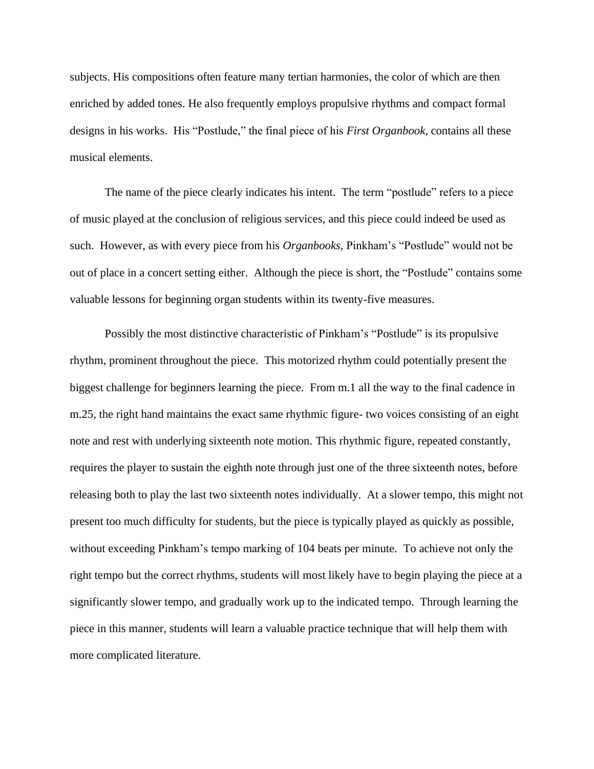subjects. His compositions often feature many tertian harmonies, the color of which are then enriched by added tones. He also frequently employs propulsive rhythms and compact formal designs in his works. His "Postlude," the final piece of his *First Organbook,* contains all these musical elements.

The name of the piece clearly indicates his intent. The term "postlude" refers to a piece of music played at the conclusion of religious services, and this piece could indeed be used as such. However, as with every piece from his *Organbooks,* Pinkham's "Postlude" would not be out of place in a concert setting either. Although the piece is short, the "Postlude" contains some valuable lessons for beginning organ students within its twenty-five measures.

Possibly the most distinctive characteristic of Pinkham's "Postlude" is its propulsive rhythm, prominent throughout the piece. This motorized rhythm could potentially present the biggest challenge for beginners learning the piece. From m.1 all the way to the final cadence in m.25, the right hand maintains the exact same rhythmic figure- two voices consisting of an eight note and rest with underlying sixteenth note motion. This rhythmic figure, repeated constantly, requires the player to sustain the eighth note through just one of the three sixteenth notes, before releasing both to play the last two sixteenth notes individually. At a slower tempo, this might not present too much difficulty for students, but the piece is typically played as quickly as possible, without exceeding Pinkham's tempo marking of 104 beats per minute. To achieve not only the right tempo but the correct rhythms, students will most likely have to begin playing the piece at a significantly slower tempo, and gradually work up to the indicated tempo. Through learning the piece in this manner, students will learn a valuable practice technique that will help them with more complicated literature.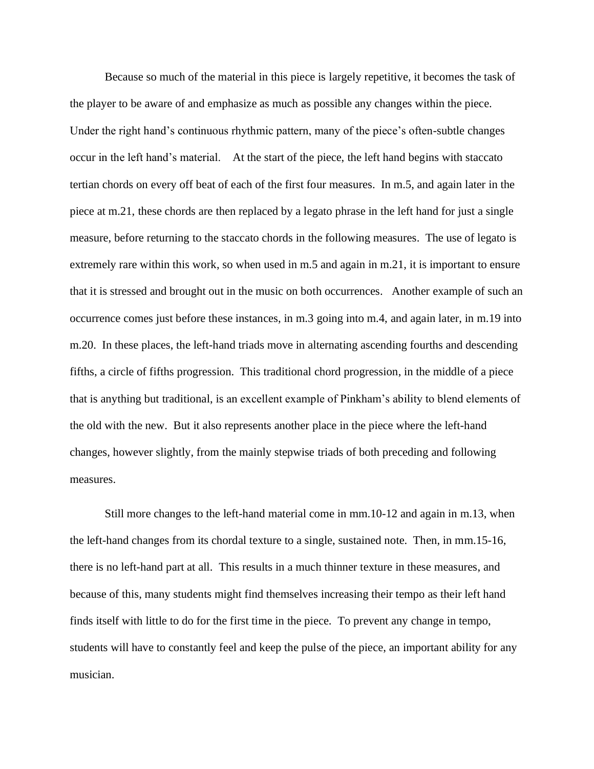Because so much of the material in this piece is largely repetitive, it becomes the task of the player to be aware of and emphasize as much as possible any changes within the piece. Under the right hand's continuous rhythmic pattern, many of the piece's often-subtle changes occur in the left hand's material. At the start of the piece, the left hand begins with staccato tertian chords on every off beat of each of the first four measures. In m.5, and again later in the piece at m.21, these chords are then replaced by a legato phrase in the left hand for just a single measure, before returning to the staccato chords in the following measures. The use of legato is extremely rare within this work, so when used in m.5 and again in m.21, it is important to ensure that it is stressed and brought out in the music on both occurrences. Another example of such an occurrence comes just before these instances, in m.3 going into m.4, and again later, in m.19 into m.20. In these places, the left-hand triads move in alternating ascending fourths and descending fifths, a circle of fifths progression. This traditional chord progression, in the middle of a piece that is anything but traditional, is an excellent example of Pinkham's ability to blend elements of the old with the new. But it also represents another place in the piece where the left-hand changes, however slightly, from the mainly stepwise triads of both preceding and following measures.

Still more changes to the left-hand material come in mm.10-12 and again in m.13, when the left-hand changes from its chordal texture to a single, sustained note. Then, in mm.15-16, there is no left-hand part at all. This results in a much thinner texture in these measures, and because of this, many students might find themselves increasing their tempo as their left hand finds itself with little to do for the first time in the piece. To prevent any change in tempo, students will have to constantly feel and keep the pulse of the piece, an important ability for any musician.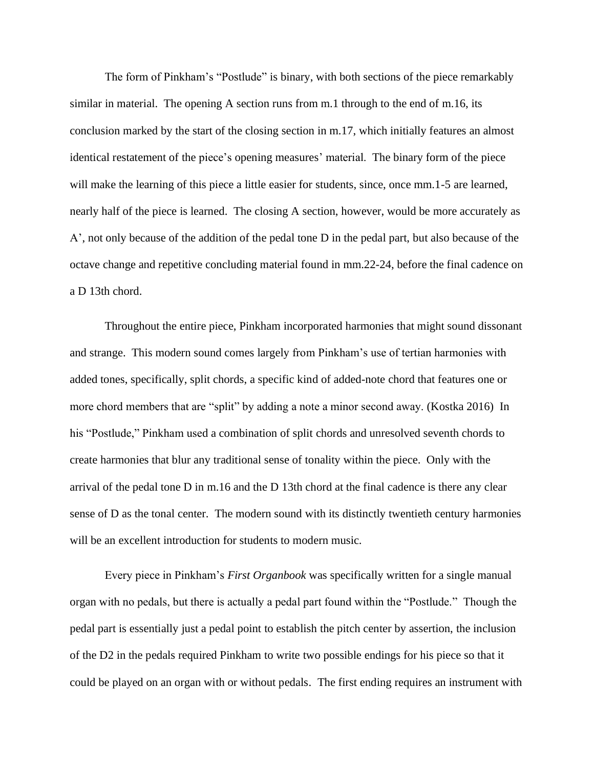The form of Pinkham's "Postlude" is binary, with both sections of the piece remarkably similar in material. The opening A section runs from m.1 through to the end of m.16, its conclusion marked by the start of the closing section in m.17, which initially features an almost identical restatement of the piece's opening measures' material. The binary form of the piece will make the learning of this piece a little easier for students, since, once mm.1-5 are learned, nearly half of the piece is learned. The closing A section, however, would be more accurately as A', not only because of the addition of the pedal tone D in the pedal part, but also because of the octave change and repetitive concluding material found in mm.22-24, before the final cadence on a D 13th chord.

Throughout the entire piece, Pinkham incorporated harmonies that might sound dissonant and strange. This modern sound comes largely from Pinkham's use of tertian harmonies with added tones, specifically, split chords, a specific kind of added-note chord that features one or more chord members that are "split" by adding a note a minor second away. (Kostka 2016) In his "Postlude," Pinkham used a combination of split chords and unresolved seventh chords to create harmonies that blur any traditional sense of tonality within the piece. Only with the arrival of the pedal tone D in m.16 and the D 13th chord at the final cadence is there any clear sense of D as the tonal center. The modern sound with its distinctly twentieth century harmonies will be an excellent introduction for students to modern music.

Every piece in Pinkham's *First Organbook* was specifically written for a single manual organ with no pedals, but there is actually a pedal part found within the "Postlude." Though the pedal part is essentially just a pedal point to establish the pitch center by assertion, the inclusion of the D2 in the pedals required Pinkham to write two possible endings for his piece so that it could be played on an organ with or without pedals. The first ending requires an instrument with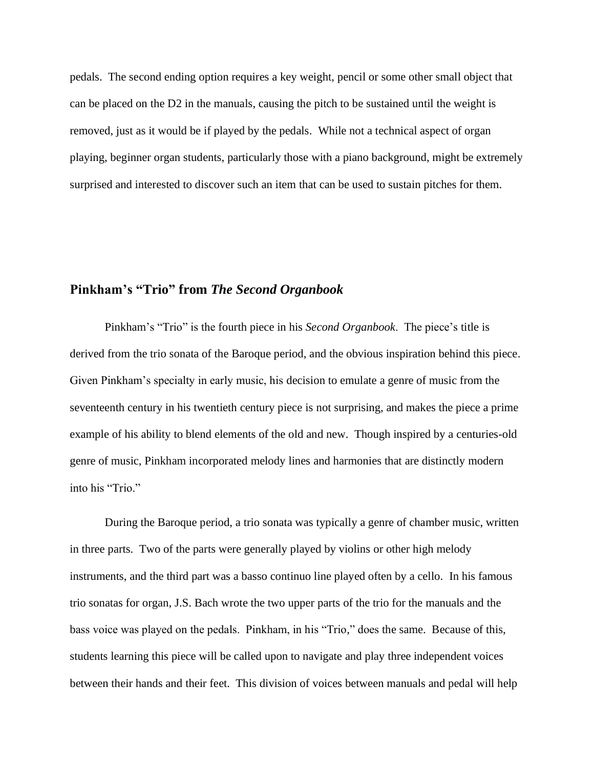pedals. The second ending option requires a key weight, pencil or some other small object that can be placed on the D2 in the manuals, causing the pitch to be sustained until the weight is removed, just as it would be if played by the pedals. While not a technical aspect of organ playing, beginner organ students, particularly those with a piano background, might be extremely surprised and interested to discover such an item that can be used to sustain pitches for them.

#### **Pinkham's "Trio" from** *The Second Organbook*

Pinkham's "Trio" is the fourth piece in his *Second Organbook*. The piece's title is derived from the trio sonata of the Baroque period, and the obvious inspiration behind this piece. Given Pinkham's specialty in early music, his decision to emulate a genre of music from the seventeenth century in his twentieth century piece is not surprising, and makes the piece a prime example of his ability to blend elements of the old and new. Though inspired by a centuries-old genre of music, Pinkham incorporated melody lines and harmonies that are distinctly modern into his "Trio."

During the Baroque period, a trio sonata was typically a genre of chamber music, written in three parts. Two of the parts were generally played by violins or other high melody instruments, and the third part was a basso continuo line played often by a cello. In his famous trio sonatas for organ, J.S. Bach wrote the two upper parts of the trio for the manuals and the bass voice was played on the pedals. Pinkham, in his "Trio," does the same. Because of this, students learning this piece will be called upon to navigate and play three independent voices between their hands and their feet. This division of voices between manuals and pedal will help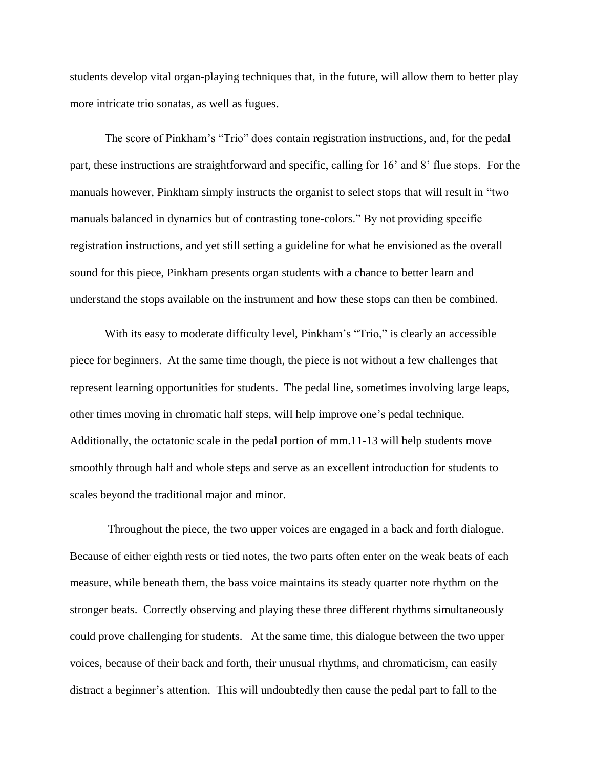students develop vital organ-playing techniques that, in the future, will allow them to better play more intricate trio sonatas, as well as fugues.

The score of Pinkham's "Trio" does contain registration instructions, and, for the pedal part, these instructions are straightforward and specific, calling for 16' and 8' flue stops. For the manuals however, Pinkham simply instructs the organist to select stops that will result in "two manuals balanced in dynamics but of contrasting tone-colors." By not providing specific registration instructions, and yet still setting a guideline for what he envisioned as the overall sound for this piece, Pinkham presents organ students with a chance to better learn and understand the stops available on the instrument and how these stops can then be combined.

With its easy to moderate difficulty level, Pinkham's "Trio," is clearly an accessible piece for beginners. At the same time though, the piece is not without a few challenges that represent learning opportunities for students. The pedal line, sometimes involving large leaps, other times moving in chromatic half steps, will help improve one's pedal technique. Additionally, the octatonic scale in the pedal portion of mm.11-13 will help students move smoothly through half and whole steps and serve as an excellent introduction for students to scales beyond the traditional major and minor.

Throughout the piece, the two upper voices are engaged in a back and forth dialogue. Because of either eighth rests or tied notes, the two parts often enter on the weak beats of each measure, while beneath them, the bass voice maintains its steady quarter note rhythm on the stronger beats. Correctly observing and playing these three different rhythms simultaneously could prove challenging for students. At the same time, this dialogue between the two upper voices, because of their back and forth, their unusual rhythms, and chromaticism, can easily distract a beginner's attention. This will undoubtedly then cause the pedal part to fall to the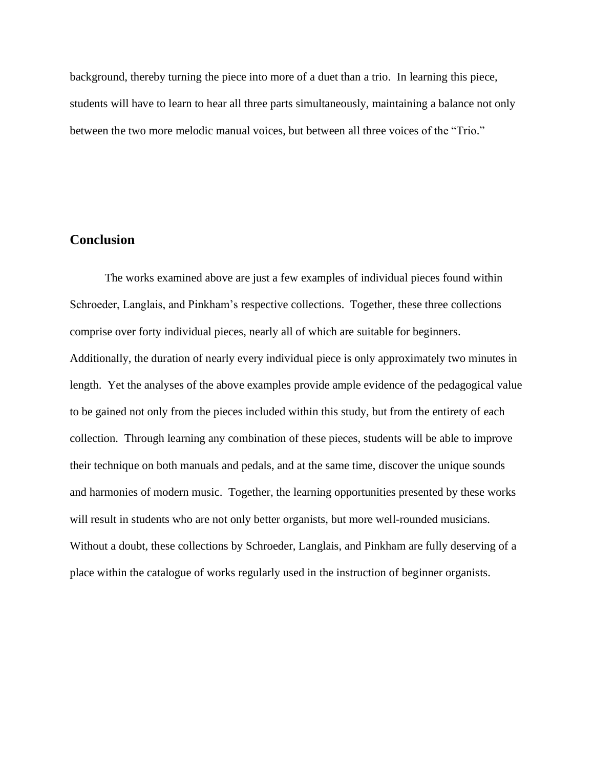background, thereby turning the piece into more of a duet than a trio. In learning this piece, students will have to learn to hear all three parts simultaneously, maintaining a balance not only between the two more melodic manual voices, but between all three voices of the "Trio."

#### **Conclusion**

The works examined above are just a few examples of individual pieces found within Schroeder, Langlais, and Pinkham's respective collections. Together, these three collections comprise over forty individual pieces, nearly all of which are suitable for beginners. Additionally, the duration of nearly every individual piece is only approximately two minutes in length. Yet the analyses of the above examples provide ample evidence of the pedagogical value to be gained not only from the pieces included within this study, but from the entirety of each collection. Through learning any combination of these pieces, students will be able to improve their technique on both manuals and pedals, and at the same time, discover the unique sounds and harmonies of modern music. Together, the learning opportunities presented by these works will result in students who are not only better organists, but more well-rounded musicians. Without a doubt, these collections by Schroeder, Langlais, and Pinkham are fully deserving of a place within the catalogue of works regularly used in the instruction of beginner organists.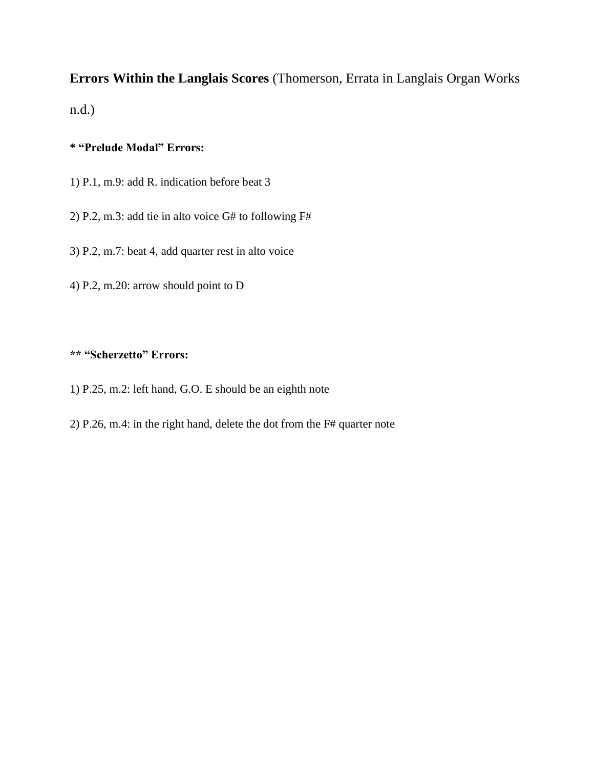# **Errors Within the Langlais Scores** (Thomerson, Errata in Langlais Organ Works n.d.)

## **\* "Prelude Modal" Errors:**

- 1) P.1, m.9: add R. indication before beat 3
- 2) P.2, m.3: add tie in alto voice G# to following F#
- 3) P.2, m.7: beat 4, add quarter rest in alto voice
- 4) P.2, m.20: arrow should point to D

# **\*\* "Scherzetto" Errors:**

- 1) P.25, m.2: left hand, G.O. E should be an eighth note
- 2) P.26, m.4: in the right hand, delete the dot from the F# quarter note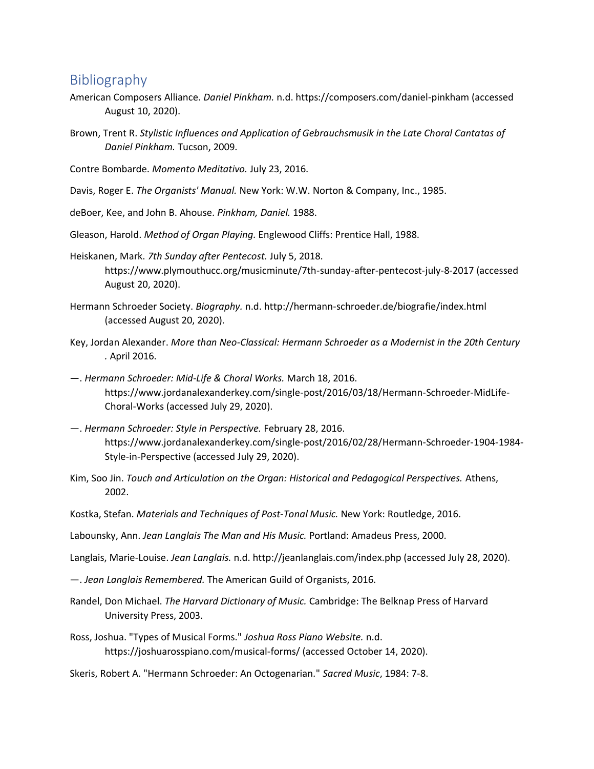# Bibliography

- American Composers Alliance. *Daniel Pinkham.* n.d. https://composers.com/daniel-pinkham (accessed August 10, 2020).
- Brown, Trent R. *Stylistic Influences and Application of Gebrauchsmusik in the Late Choral Cantatas of Daniel Pinkham.* Tucson, 2009.
- Contre Bombarde. *Momento Meditativo.* July 23, 2016.
- Davis, Roger E. *The Organists' Manual.* New York: W.W. Norton & Company, Inc., 1985.
- deBoer, Kee, and John B. Ahouse. *Pinkham, Daniel.* 1988.
- Gleason, Harold. *Method of Organ Playing.* Englewood Cliffs: Prentice Hall, 1988.
- Heiskanen, Mark. *7th Sunday after Pentecost.* July 5, 2018. https://www.plymouthucc.org/musicminute/7th-sunday-after-pentecost-july-8-2017 (accessed August 20, 2020).
- Hermann Schroeder Society. *Biography.* n.d. http://hermann-schroeder.de/biografie/index.html (accessed August 20, 2020).
- Key, Jordan Alexander. *More than Neo-Classical: Hermann Schroeder as a Modernist in the 20th Century .* April 2016.
- —. *Hermann Schroeder: Mid-Life & Choral Works.* March 18, 2016. https://www.jordanalexanderkey.com/single-post/2016/03/18/Hermann-Schroeder-MidLife-Choral-Works (accessed July 29, 2020).
- —. *Hermann Schroeder: Style in Perspective.* February 28, 2016. https://www.jordanalexanderkey.com/single-post/2016/02/28/Hermann-Schroeder-1904-1984- Style-in-Perspective (accessed July 29, 2020).
- Kim, Soo Jin. *Touch and Articulation on the Organ: Historical and Pedagogical Perspectives.* Athens, 2002.
- Kostka, Stefan. *Materials and Techniques of Post-Tonal Music.* New York: Routledge, 2016.
- Labounsky, Ann. *Jean Langlais The Man and His Music.* Portland: Amadeus Press, 2000.
- Langlais, Marie-Louise. *Jean Langlais.* n.d. http://jeanlanglais.com/index.php (accessed July 28, 2020).
- —. *Jean Langlais Remembered.* The American Guild of Organists, 2016.
- Randel, Don Michael. *The Harvard Dictionary of Music.* Cambridge: The Belknap Press of Harvard University Press, 2003.
- Ross, Joshua. "Types of Musical Forms." *Joshua Ross Piano Website.* n.d. https://joshuarosspiano.com/musical-forms/ (accessed October 14, 2020).
- Skeris, Robert A. "Hermann Schroeder: An Octogenarian." *Sacred Music*, 1984: 7-8.